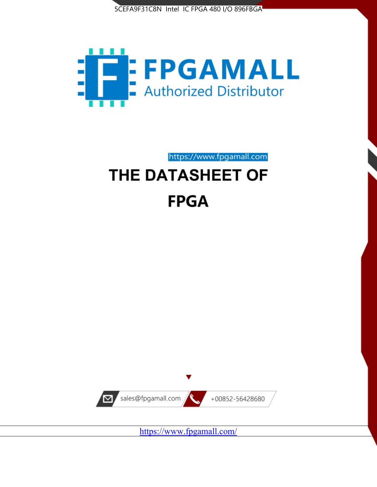



https://www.fpgamall.com

# THE DATASHEET OF **FPGA**



<https://www.fpgamall.com/>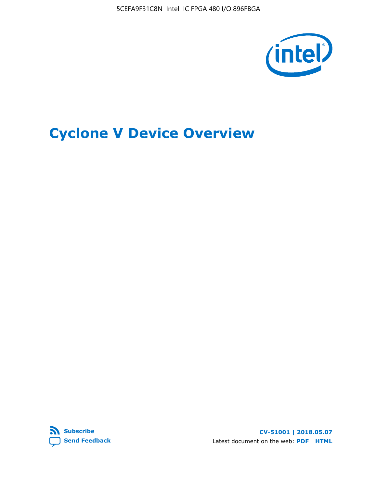5CEFA9F31C8N Intel IC FPGA 480 I/O 896FBGA



# **Cyclone V Device Overview**



**CV-51001 | 2018.05.07** Latest document on the web: **[PDF](https://www.altera.com/en_US/pdfs/literature/hb/cyclone-v/cv_51001.pdf)** | **[HTML](https://www.altera.com/documentation/sam1403480548153.html)**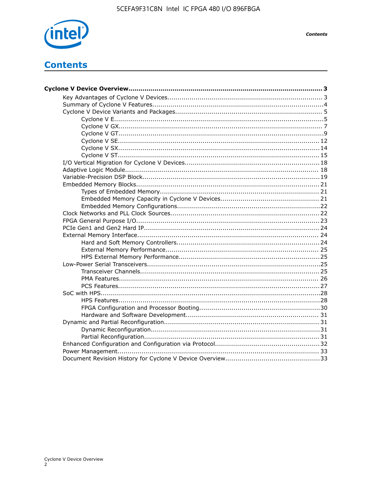

# **Contents**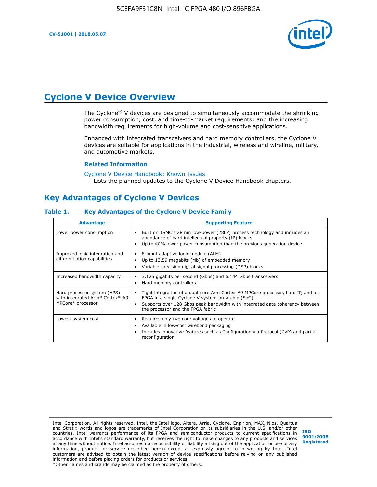

# **Cyclone V Device Overview**

The Cyclone® V devices are designed to simultaneously accommodate the shrinking power consumption, cost, and time-to-market requirements; and the increasing bandwidth requirements for high-volume and cost-sensitive applications.

Enhanced with integrated transceivers and hard memory controllers, the Cyclone V devices are suitable for applications in the industrial, wireless and wireline, military, and automotive markets.

#### **Related Information**

[Cyclone V Device Handbook: Known Issues](https://www.altera.com/support/support-resources/knowledge-base/solutions/rd12152011_347.html) Lists the planned updates to the Cyclone V Device Handbook chapters.

# **Key Advantages of Cyclone V Devices**

#### **Table 1. Key Advantages of the Cyclone V Device Family**

| <b>Advantage</b>                                                                    | <b>Supporting Feature</b>                                                                                                                                                                                                                                                    |
|-------------------------------------------------------------------------------------|------------------------------------------------------------------------------------------------------------------------------------------------------------------------------------------------------------------------------------------------------------------------------|
| Lower power consumption                                                             | Built on TSMC's 28 nm low-power (28LP) process technology and includes an<br>$\bullet$<br>abundance of hard intellectual property (IP) blocks<br>Up to 40% lower power consumption than the previous generation device                                                       |
| Improved logic integration and<br>differentiation capabilities                      | 8-input adaptive logic module (ALM)<br>٠<br>Up to 13.59 megabits (Mb) of embedded memory<br>٠<br>Variable-precision digital signal processing (DSP) blocks                                                                                                                   |
| Increased bandwidth capacity                                                        | 3.125 gigabits per second (Gbps) and 6.144 Gbps transceivers<br>٠<br>Hard memory controllers<br>٠                                                                                                                                                                            |
| Hard processor system (HPS)<br>with integrated Arm* Cortex*-A9<br>MPCore* processor | Tight integration of a dual-core Arm Cortex-A9 MPCore processor, hard IP, and an<br>$\bullet$<br>FPGA in a single Cyclone V system-on-a-chip (SoC)<br>Supports over 128 Gbps peak bandwidth with integrated data coherency between<br>٠<br>the processor and the FPGA fabric |
| Lowest system cost                                                                  | Requires only two core voltages to operate<br>٠<br>Available in low-cost wirebond packaging<br>٠<br>Includes innovative features such as Configuration via Protocol (CvP) and partial<br>٠<br>reconfiguration                                                                |

Intel Corporation. All rights reserved. Intel, the Intel logo, Altera, Arria, Cyclone, Enpirion, MAX, Nios, Quartus and Stratix words and logos are trademarks of Intel Corporation or its subsidiaries in the U.S. and/or other countries. Intel warrants performance of its FPGA and semiconductor products to current specifications in accordance with Intel's standard warranty, but reserves the right to make changes to any products and services at any time without notice. Intel assumes no responsibility or liability arising out of the application or use of any information, product, or service described herein except as expressly agreed to in writing by Intel. Intel customers are advised to obtain the latest version of device specifications before relying on any published information and before placing orders for products or services. \*Other names and brands may be claimed as the property of others.

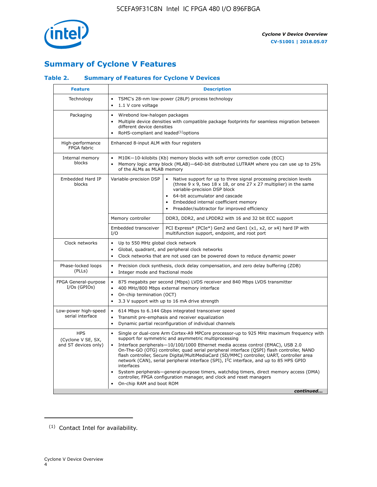

# **Summary of Cyclone V Features**

## **Table 2. Summary of Features for Cyclone V Devices**

| <b>Feature</b>                                           | <b>Description</b>                                                                                                                                                                                                                                                                                                                        |                                                                                                                                                                                                                                                                                                                                                                                                                                                                                                                                                                                                                                                                                                         |  |  |  |  |  |  |
|----------------------------------------------------------|-------------------------------------------------------------------------------------------------------------------------------------------------------------------------------------------------------------------------------------------------------------------------------------------------------------------------------------------|---------------------------------------------------------------------------------------------------------------------------------------------------------------------------------------------------------------------------------------------------------------------------------------------------------------------------------------------------------------------------------------------------------------------------------------------------------------------------------------------------------------------------------------------------------------------------------------------------------------------------------------------------------------------------------------------------------|--|--|--|--|--|--|
| Technology                                               | $\bullet$<br>1.1 V core voltage<br>$\bullet$                                                                                                                                                                                                                                                                                              | TSMC's 28-nm low-power (28LP) process technology                                                                                                                                                                                                                                                                                                                                                                                                                                                                                                                                                                                                                                                        |  |  |  |  |  |  |
| Packaging                                                | $\bullet$                                                                                                                                                                                                                                                                                                                                 | Wirebond low-halogen packages<br>Multiple device densities with compatible package footprints for seamless migration between<br>different device densities<br>RoHS-compliant and leaded $(1)$ options                                                                                                                                                                                                                                                                                                                                                                                                                                                                                                   |  |  |  |  |  |  |
| High-performance<br>FPGA fabric                          | Enhanced 8-input ALM with four registers                                                                                                                                                                                                                                                                                                  |                                                                                                                                                                                                                                                                                                                                                                                                                                                                                                                                                                                                                                                                                                         |  |  |  |  |  |  |
| Internal memory<br>blocks                                | of the ALMs as MLAB memory                                                                                                                                                                                                                                                                                                                | M10K-10-kilobits (Kb) memory blocks with soft error correction code (ECC)<br>Memory logic array block (MLAB)-640-bit distributed LUTRAM where you can use up to 25%                                                                                                                                                                                                                                                                                                                                                                                                                                                                                                                                     |  |  |  |  |  |  |
| Embedded Hard IP<br>blocks                               | Variable-precision DSP<br>Native support for up to three signal processing precision levels<br>(three $9 \times 9$ , two $18 \times 18$ , or one 27 x 27 multiplier) in the same<br>variable-precision DSP block<br>64-bit accumulator and cascade<br>Embedded internal coefficient memory<br>Preadder/subtractor for improved efficiency |                                                                                                                                                                                                                                                                                                                                                                                                                                                                                                                                                                                                                                                                                                         |  |  |  |  |  |  |
|                                                          | Memory controller                                                                                                                                                                                                                                                                                                                         | DDR3, DDR2, and LPDDR2 with 16 and 32 bit ECC support                                                                                                                                                                                                                                                                                                                                                                                                                                                                                                                                                                                                                                                   |  |  |  |  |  |  |
|                                                          | Embedded transceiver<br>I/O                                                                                                                                                                                                                                                                                                               | PCI Express* (PCIe*) Gen2 and Gen1 (x1, x2, or x4) hard IP with<br>multifunction support, endpoint, and root port                                                                                                                                                                                                                                                                                                                                                                                                                                                                                                                                                                                       |  |  |  |  |  |  |
| Clock networks                                           | Up to 550 MHz global clock network<br>$\bullet$<br>$\bullet$                                                                                                                                                                                                                                                                              | Global, quadrant, and peripheral clock networks<br>Clock networks that are not used can be powered down to reduce dynamic power                                                                                                                                                                                                                                                                                                                                                                                                                                                                                                                                                                         |  |  |  |  |  |  |
| Phase-locked loops<br>(PLLs)                             | $\bullet$<br>Integer mode and fractional mode<br>$\bullet$                                                                                                                                                                                                                                                                                | Precision clock synthesis, clock delay compensation, and zero delay buffering (ZDB)                                                                                                                                                                                                                                                                                                                                                                                                                                                                                                                                                                                                                     |  |  |  |  |  |  |
| FPGA General-purpose<br>$I/Os$ (GPIOs)                   | $\bullet$<br>$\bullet$<br>On-chip termination (OCT)<br>$\bullet$                                                                                                                                                                                                                                                                          | 875 megabits per second (Mbps) LVDS receiver and 840 Mbps LVDS transmitter<br>400 MHz/800 Mbps external memory interface<br>3.3 V support with up to 16 mA drive strength                                                                                                                                                                                                                                                                                                                                                                                                                                                                                                                               |  |  |  |  |  |  |
| Low-power high-speed<br>serial interface                 | 614 Mbps to 6.144 Gbps integrated transceiver speed<br>$\bullet$<br>Transmit pre-emphasis and receiver equalization<br>$\bullet$<br>Dynamic partial reconfiguration of individual channels<br>$\bullet$                                                                                                                                   |                                                                                                                                                                                                                                                                                                                                                                                                                                                                                                                                                                                                                                                                                                         |  |  |  |  |  |  |
| <b>HPS</b><br>(Cyclone V SE, SX,<br>and ST devices only) | $\bullet$<br>$\bullet$<br>interfaces<br>On-chip RAM and boot ROM                                                                                                                                                                                                                                                                          | Single or dual-core Arm Cortex-A9 MPCore processor-up to 925 MHz maximum frequency with<br>support for symmetric and asymmetric multiprocessing<br>Interface peripherals-10/100/1000 Ethernet media access control (EMAC), USB 2.0<br>On-The-GO (OTG) controller, quad serial peripheral interface (QSPI) flash controller, NAND<br>flash controller, Secure Digital/MultiMediaCard (SD/MMC) controller, UART, controller area<br>network (CAN), serial peripheral interface (SPI), I <sup>2</sup> C interface, and up to 85 HPS GPIO<br>System peripherals—general-purpose timers, watchdog timers, direct memory access (DMA)<br>controller, FPGA configuration manager, and clock and reset managers |  |  |  |  |  |  |
|                                                          |                                                                                                                                                                                                                                                                                                                                           | continued                                                                                                                                                                                                                                                                                                                                                                                                                                                                                                                                                                                                                                                                                               |  |  |  |  |  |  |

<sup>(1)</sup> Contact Intel for availability.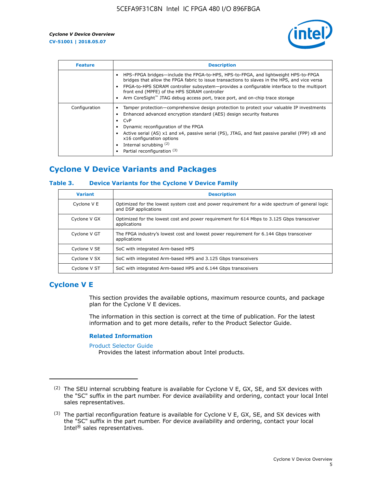

| <b>Feature</b> | <b>Description</b>                                                                                                                                                                                                                                                                                                                                                                                                    |
|----------------|-----------------------------------------------------------------------------------------------------------------------------------------------------------------------------------------------------------------------------------------------------------------------------------------------------------------------------------------------------------------------------------------------------------------------|
|                | HPS-FPGA bridges—include the FPGA-to-HPS, HPS-to-FPGA, and lightweight HPS-to-FPGA<br>bridges that allow the FPGA fabric to issue transactions to slaves in the HPS, and vice versa<br>FPGA-to-HPS SDRAM controller subsystem-provides a configurable interface to the multiport<br>front end (MPFE) of the HPS SDRAM controller<br>Arm CoreSight™ JTAG debug access port, trace port, and on-chip trace storage      |
| Configuration  | Tamper protection—comprehensive design protection to protect your valuable IP investments<br>Enhanced advanced encryption standard (AES) design security features<br>CvP<br>$\bullet$<br>Dynamic reconfiguration of the FPGA<br>Active serial (AS) x1 and x4, passive serial (PS), JTAG, and fast passive parallel (FPP) x8 and<br>x16 configuration options<br>Internal scrubbing (2)<br>Partial reconfiguration (3) |

# **Cyclone V Device Variants and Packages**

#### **Table 3. Device Variants for the Cyclone V Device Family**

| <b>Variant</b> | <b>Description</b>                                                                                                      |
|----------------|-------------------------------------------------------------------------------------------------------------------------|
| Cyclone V E    | Optimized for the lowest system cost and power requirement for a wide spectrum of general logic<br>and DSP applications |
| Cyclone V GX   | Optimized for the lowest cost and power requirement for 614 Mbps to 3.125 Gbps transceiver<br>applications              |
| Cyclone V GT   | The FPGA industry's lowest cost and lowest power requirement for 6.144 Gbps transceiver<br>applications                 |
| Cyclone V SE   | SoC with integrated Arm-based HPS                                                                                       |
| Cyclone V SX   | SoC with integrated Arm-based HPS and 3.125 Gbps transceivers                                                           |
| Cyclone V ST   | SoC with integrated Arm-based HPS and 6.144 Gbps transceivers                                                           |

## **Cyclone V E**

This section provides the available options, maximum resource counts, and package plan for the Cyclone V E devices.

The information in this section is correct at the time of publication. For the latest information and to get more details, refer to the Product Selector Guide.

#### **Related Information**

[Product Selector Guide](https://www.altera.com/products/product-selector-guide.html)

Provides the latest information about Intel products.

<sup>(2)</sup> The SEU internal scrubbing feature is available for Cyclone V E, GX, SE, and SX devices with the "SC" suffix in the part number. For device availability and ordering, contact your local Intel sales representatives.

 $(3)$  The partial reconfiguration feature is available for Cyclone V E, GX, SE, and SX devices with the "SC" suffix in the part number. For device availability and ordering, contact your local Intel® sales representatives.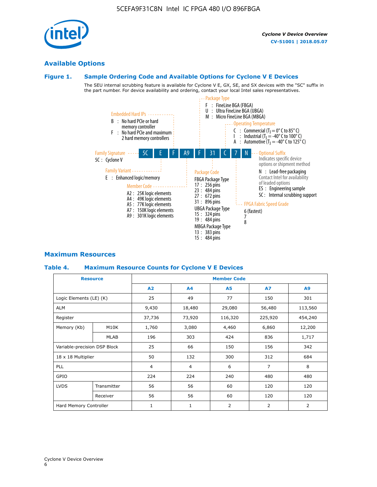# **Available Options**

#### **Figure 1. Sample Ordering Code and Available Options for Cyclone V E Devices**

The SEU internal scrubbing feature is available for Cyclone V E, GX, SE, and SX devices with the "SC" suffix in the part number. For device availability and ordering, contact your local Intel sales representatives.



# **Maximum Resources**

#### **Table 4. Maximum Resource Counts for Cyclone V E Devices**

| <b>Resource</b>              |             | <b>Member Code</b> |              |                |                |         |  |  |
|------------------------------|-------------|--------------------|--------------|----------------|----------------|---------|--|--|
|                              |             | A2                 | A4           | <b>A5</b>      | <b>A7</b>      | A9      |  |  |
| Logic Elements (LE) (K)      |             | 25                 | 49           | 77             | 150            | 301     |  |  |
| <b>ALM</b>                   |             | 9,430              | 18,480       | 29,080         | 56,480         | 113,560 |  |  |
| Register                     |             | 37,736             | 73,920       | 116,320        | 225,920        | 454,240 |  |  |
| Memory (Kb)                  | M10K        | 1,760              | 3,080        | 4,460          | 6,860          | 12,200  |  |  |
|                              | <b>MLAB</b> | 196                | 303          | 424            | 836            | 1,717   |  |  |
| Variable-precision DSP Block |             | 25                 | 66           | 150            | 156            | 342     |  |  |
| 18 x 18 Multiplier           |             | 50                 | 132          | 300            | 312            | 684     |  |  |
| PLL                          |             |                    | 4            | 6              | $\overline{7}$ | 8       |  |  |
| GPIO                         |             | 224                | 224          | 240            | 480            | 480     |  |  |
| <b>LVDS</b>                  | Transmitter | 56                 | 56           | 60             | 120            | 120     |  |  |
|                              | Receiver    | 56                 | 56           | 60             | 120            | 120     |  |  |
| Hard Memory Controller       |             | $\mathbf{1}$       | $\mathbf{1}$ | $\overline{2}$ | $\overline{2}$ | 2       |  |  |

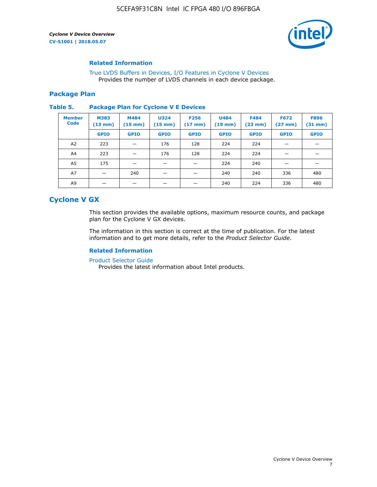

#### **Related Information**

[True LVDS Buffers in Devices, I/O Features in Cyclone V Devices](https://www.altera.com/documentation/sam1403481100977.html#sam1403480885395) Provides the number of LVDS channels in each device package.

#### **Package Plan**

#### **Table 5. Package Plan for Cyclone V E Devices**

| <b>Member</b><br><b>Code</b> | <b>M383</b><br>$(13 \text{ mm})$ | M484<br>$(15 \text{ mm})$ | <b>U324</b><br>$(15 \text{ mm})$ | <b>F256</b><br>$(17 \text{ mm})$ | <b>U484</b><br>$(19$ mm) | <b>F484</b><br>$(23$ mm $)$ | <b>F672</b><br>$(27 \, \text{mm})$ | <b>F896</b><br>$(31 \text{ mm})$ |
|------------------------------|----------------------------------|---------------------------|----------------------------------|----------------------------------|--------------------------|-----------------------------|------------------------------------|----------------------------------|
|                              | <b>GPIO</b>                      | <b>GPIO</b>               | <b>GPIO</b>                      | <b>GPIO</b>                      | <b>GPIO</b>              | <b>GPIO</b>                 | <b>GPIO</b>                        | <b>GPIO</b>                      |
| A2                           | 223                              |                           | 176                              | 128                              | 224                      | 224                         |                                    |                                  |
| A4                           | 223                              |                           | 176                              | 128                              | 224                      | 224                         |                                    |                                  |
| A <sub>5</sub>               | 175                              |                           |                                  |                                  | 224                      | 240                         |                                    |                                  |
| A7                           |                                  | 240                       |                                  |                                  | 240                      | 240                         | 336                                | 480                              |
| A9                           |                                  |                           |                                  |                                  | 240                      | 224                         | 336                                | 480                              |

# **Cyclone V GX**

This section provides the available options, maximum resource counts, and package plan for the Cyclone V GX devices.

The information in this section is correct at the time of publication. For the latest information and to get more details, refer to the *Product Selector Guide*.

#### **Related Information**

[Product Selector Guide](https://www.altera.com/products/product-selector-guide.html)

Provides the latest information about Intel products.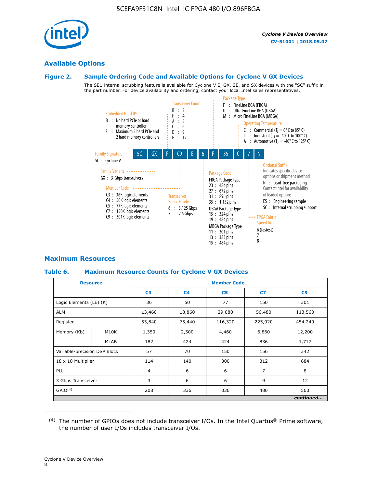

# **Available Options**

# **Figure 2. Sample Ordering Code and Available Options for Cyclone V GX Devices**

The SEU internal scrubbing feature is available for Cyclone V E, GX, SE, and SX devices with the "SC" suffix in the part number. For device availability and ordering, contact your local Intel sales representatives.



# **Maximum Resources**

# **Table 6. Maximum Resource Counts for Cyclone V GX Devices**

|                              | <b>Resource</b> | <b>Member Code</b> |                |                |         |           |   |   |
|------------------------------|-----------------|--------------------|----------------|----------------|---------|-----------|---|---|
|                              |                 | C <sub>3</sub>     | C <sub>4</sub> | C <sub>5</sub> | C7      | C9        |   |   |
| Logic Elements (LE) (K)      |                 | 36                 | 50             | 77             | 150     | 301       |   |   |
| <b>ALM</b>                   |                 | 13,460             | 18,860         | 29,080         | 56,480  | 113,560   |   |   |
| Register                     |                 | 53,840             | 75,440         | 116,320        | 225,920 | 454,240   |   |   |
| Memory (Kb)                  | M10K            | 1,350              | 2,500          | 4,460          | 6,860   | 12,200    |   |   |
|                              | <b>MLAB</b>     | 182                | 424            | 424            | 836     | 1,717     |   |   |
| Variable-precision DSP Block |                 | 57                 | 70             | 150            | 156     | 342       |   |   |
| 18 x 18 Multiplier           |                 | 114                | 140            | 300            | 312     | 684       |   |   |
| <b>PLL</b>                   |                 |                    |                |                | 6       | 6         | 7 | 8 |
| 3 Gbps Transceiver           |                 | 3                  | 6              | 6              | 9       | 12        |   |   |
| GPIO <sup>(4)</sup>          |                 | 208                | 336            | 336            | 480     | 560       |   |   |
|                              |                 |                    |                |                |         | continued |   |   |

 $(4)$  The number of GPIOs does not include transceiver I/Os. In the Intel Quartus® Prime software, the number of user I/Os includes transceiver I/Os.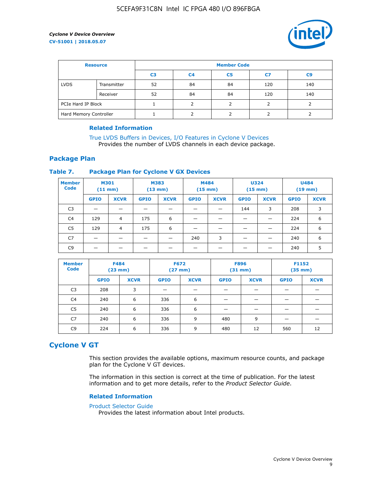

| <b>Resource</b>        |             | <b>Member Code</b> |                |                |     |                |  |  |
|------------------------|-------------|--------------------|----------------|----------------|-----|----------------|--|--|
|                        |             | C <sub>3</sub>     | C <sub>4</sub> | C <sub>5</sub> | C7  | C <sub>9</sub> |  |  |
| <b>LVDS</b>            | Transmitter | 52                 | 84             | 84             | 120 | 140            |  |  |
|                        | Receiver    | 52                 | 84             | 84             | 120 | 140            |  |  |
| PCIe Hard IP Block     |             |                    |                |                |     |                |  |  |
| Hard Memory Controller |             |                    | h              |                |     |                |  |  |

#### **Related Information**

[True LVDS Buffers in Devices, I/O Features in Cyclone V Devices](https://www.altera.com/documentation/sam1403481100977.html#sam1403480885395) Provides the number of LVDS channels in each device package.

## **Package Plan**

#### **Table 7. Package Plan for Cyclone V GX Devices**

| <b>Member</b><br><b>Code</b> | <b>M301</b><br>$(11$ mm) |                | <b>M383</b><br>$(13 \text{ mm})$ |             | M484        | $(15 \text{ mm})$ | <b>U324</b><br>$(15 \text{ mm})$ |             | <b>U484</b><br>$(19$ mm) |             |
|------------------------------|--------------------------|----------------|----------------------------------|-------------|-------------|-------------------|----------------------------------|-------------|--------------------------|-------------|
|                              | <b>GPIO</b>              | <b>XCVR</b>    | <b>GPIO</b>                      | <b>XCVR</b> | <b>GPIO</b> | <b>XCVR</b>       | <b>GPIO</b>                      | <b>XCVR</b> | <b>GPIO</b>              | <b>XCVR</b> |
| C <sub>3</sub>               |                          |                |                                  |             |             |                   | 144                              | 3           | 208                      | 3           |
| C <sub>4</sub>               | 129                      | $\overline{4}$ | 175                              | 6           |             |                   | –                                |             | 224                      | 6           |
| C5                           | 129                      | 4              | 175                              | 6           |             |                   |                                  |             | 224                      | 6           |
| C7                           | _                        |                |                                  |             | 240         | 3                 |                                  |             | 240                      | 6           |
| C9                           |                          |                |                                  |             |             |                   |                                  |             | 240                      | 5           |

| <b>Member</b><br><b>Code</b> | <b>F484</b> | $(23$ mm)   | <b>F672</b> | $(27 \text{ mm})$ | <b>F896</b><br>$(31 \text{ mm})$ |             | F1152<br>$(35 \text{ mm})$ |             |
|------------------------------|-------------|-------------|-------------|-------------------|----------------------------------|-------------|----------------------------|-------------|
|                              | <b>GPIO</b> | <b>XCVR</b> | <b>GPIO</b> | <b>XCVR</b>       | <b>GPIO</b>                      | <b>XCVR</b> | <b>GPIO</b>                | <b>XCVR</b> |
| C <sub>3</sub>               | 208         | 3           |             |                   |                                  |             |                            |             |
| C4                           | 240         | 6           | 336         | 6                 |                                  |             |                            |             |
| C5                           | 240         | 6           | 336         | 6                 |                                  |             |                            |             |
| C7                           | 240         | 6           | 336         | 9                 | 480                              | 9           |                            |             |
| C9                           | 224         | 6           | 336         | 9                 | 480                              | 12          | 560                        | 12          |

# **Cyclone V GT**

This section provides the available options, maximum resource counts, and package plan for the Cyclone V GT devices.

The information in this section is correct at the time of publication. For the latest information and to get more details, refer to the *Product Selector Guide*.

#### **Related Information**

#### [Product Selector Guide](https://www.altera.com/products/product-selector-guide.html)

Provides the latest information about Intel products.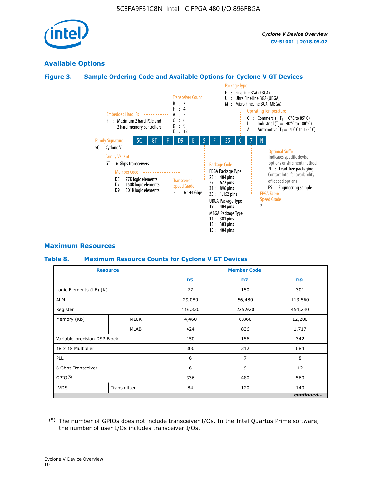

# **Available Options**

## **Figure 3. Sample Ordering Code and Available Options for Cyclone V GT Devices**



#### **Maximum Resources**

#### **Table 8. Maximum Resource Counts for Cyclone V GT Devices**

|                              | <b>Resource</b> | <b>Member Code</b> |         |                |  |  |
|------------------------------|-----------------|--------------------|---------|----------------|--|--|
|                              |                 | D <sub>5</sub>     | D7      | D <sub>9</sub> |  |  |
| Logic Elements (LE) (K)      |                 | 77                 | 150     | 301            |  |  |
| <b>ALM</b>                   |                 | 29,080             | 56,480  | 113,560        |  |  |
| Register                     |                 | 116,320            | 225,920 | 454,240        |  |  |
| Memory (Kb)                  | M10K            | 4,460              | 6,860   | 12,200         |  |  |
|                              | <b>MLAB</b>     | 424                | 836     | 1,717          |  |  |
| Variable-precision DSP Block |                 | 150                | 156     | 342            |  |  |
| 18 x 18 Multiplier           |                 | 300                | 312     | 684            |  |  |
| PLL                          |                 | 6                  | 7       | 8              |  |  |
| 6 Gbps Transceiver           |                 |                    | 9       | 12             |  |  |
| GPIO <sup>(5)</sup>          |                 | 336                | 480     | 560            |  |  |
| <b>LVDS</b>                  | Transmitter     | 84                 | 120     | 140            |  |  |
|                              |                 |                    |         | continued      |  |  |

<sup>(5)</sup> The number of GPIOs does not include transceiver I/Os. In the Intel Quartus Prime software, the number of user I/Os includes transceiver I/Os.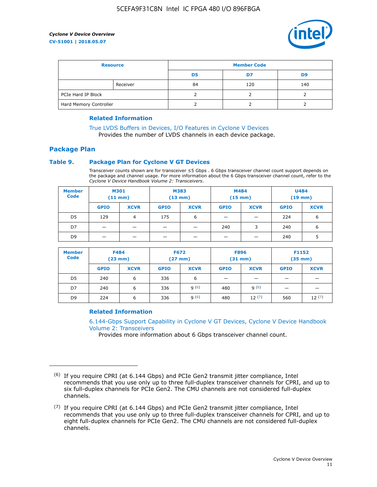

| <b>Resource</b>        |          | <b>Member Code</b> |     |     |  |  |
|------------------------|----------|--------------------|-----|-----|--|--|
|                        |          | D5                 | D7  | D9  |  |  |
|                        | Receiver | 84                 | 120 | 140 |  |  |
| PCIe Hard IP Block     |          |                    |     |     |  |  |
| Hard Memory Controller |          |                    |     |     |  |  |

#### **Related Information**

[True LVDS Buffers in Devices, I/O Features in Cyclone V Devices](https://www.altera.com/documentation/sam1403481100977.html#sam1403480885395) Provides the number of LVDS channels in each device package.

## **Package Plan**

#### **Table 9. Package Plan for Cyclone V GT Devices**

Transceiver counts shown are for transceiver ≤5 Gbps . 6 Gbps transceiver channel count support depends on the package and channel usage. For more information about the 6 Gbps transceiver channel count, refer to the *Cyclone V Device Handbook Volume 2: Transceivers*.

| <b>Member</b><br><b>Code</b> | <b>M301</b><br>(11 mm)   |                | M383<br>$(13 \text{ mm})$ |             | M484<br>$(15 \text{ mm})$ |             | <b>U484</b><br>$(19$ mm) |             |
|------------------------------|--------------------------|----------------|---------------------------|-------------|---------------------------|-------------|--------------------------|-------------|
|                              | <b>GPIO</b>              | <b>XCVR</b>    | <b>GPIO</b>               | <b>XCVR</b> | <b>GPIO</b>               | <b>XCVR</b> | <b>GPIO</b>              | <b>XCVR</b> |
| D <sub>5</sub>               | 129                      | $\overline{4}$ | 175                       | 6           | -                         | -           | 224                      | 6           |
| D7                           | -                        | -              |                           |             | 240                       | 3           | 240                      | 6           |
| D <sub>9</sub>               | $\overline{\phantom{0}}$ | _              |                           |             | -                         |             | 240                      | 5           |

| <b>Member</b><br><b>Code</b> | <b>F484</b><br>$(23 \text{ mm})$ |             | <b>F672</b><br>$(27 \text{ mm})$ |             | <b>F896</b><br>$(31$ mm $)$ |             | F1152<br>$(35$ mm $)$ |             |
|------------------------------|----------------------------------|-------------|----------------------------------|-------------|-----------------------------|-------------|-----------------------|-------------|
|                              | <b>GPIO</b>                      | <b>XCVR</b> | <b>GPIO</b>                      | <b>XCVR</b> | <b>GPIO</b>                 | <b>XCVR</b> | <b>GPIO</b>           | <b>XCVR</b> |
| D <sub>5</sub>               | 240                              | 6           | 336                              | 6           | -                           |             |                       |             |
| D7                           | 240                              | 6           | 336                              | q(6)        | 480                         | q(6)        |                       |             |
| D <sub>9</sub>               | 224                              | 6           | 336                              | 9(6)        | 480                         | 12(7)       | 560                   | 12(7)       |

#### **Related Information**

[6.144-Gbps Support Capability in Cyclone V GT Devices, Cyclone V Device Handbook](https://www.altera.com/documentation/nik1409855456781.html#nik1409855410757) [Volume 2: Transceivers](https://www.altera.com/documentation/nik1409855456781.html#nik1409855410757)

Provides more information about 6 Gbps transceiver channel count.

<sup>(6)</sup> If you require CPRI (at 6.144 Gbps) and PCIe Gen2 transmit jitter compliance, Intel recommends that you use only up to three full-duplex transceiver channels for CPRI, and up to six full-duplex channels for PCIe Gen2. The CMU channels are not considered full-duplex channels.

 $(7)$  If you require CPRI (at 6.144 Gbps) and PCIe Gen2 transmit jitter compliance, Intel recommends that you use only up to three full-duplex transceiver channels for CPRI, and up to eight full-duplex channels for PCIe Gen2. The CMU channels are not considered full-duplex channels.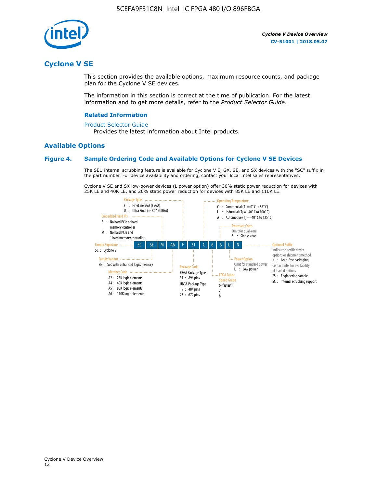

# **Cyclone V SE**

This section provides the available options, maximum resource counts, and package plan for the Cyclone V SE devices.

The information in this section is correct at the time of publication. For the latest information and to get more details, refer to the *Product Selector Guide*.

#### **Related Information**

#### [Product Selector Guide](https://www.altera.com/products/product-selector-guide.html)

Provides the latest information about Intel products.

#### **Available Options**

#### **Figure 4. Sample Ordering Code and Available Options for Cyclone V SE Devices**

The SEU internal scrubbing feature is available for Cyclone V E, GX, SE, and SX devices with the "SC" suffix in the part number. For device availability and ordering, contact your local Intel sales representatives.

Cyclone V SE and SX low-power devices (L power option) offer 30% static power reduction for devices with 25K LE and 40K LE, and 20% static power reduction for devices with 85K LE and 110K LE.

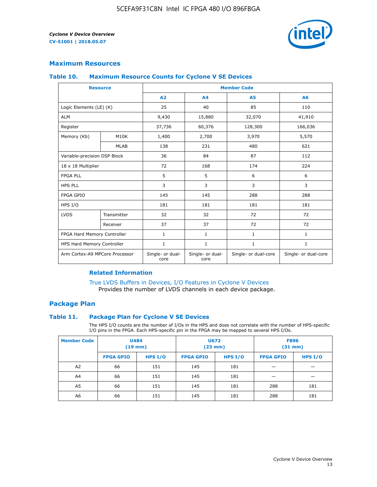

## **Maximum Resources**

#### **Table 10. Maximum Resource Counts for Cyclone V SE Devices**

|                                | <b>Resource</b>   | <b>Member Code</b>       |                          |                      |                      |  |
|--------------------------------|-------------------|--------------------------|--------------------------|----------------------|----------------------|--|
|                                |                   | A2                       | A4                       | <b>A5</b>            | A6                   |  |
| Logic Elements (LE) (K)        |                   | 25                       | 40                       | 85                   | 110                  |  |
| <b>ALM</b>                     |                   | 9,430                    | 15,880                   | 32,070               | 41,910               |  |
| Register                       |                   | 37,736                   | 60,376                   | 128,300              | 166,036              |  |
| Memory (Kb)                    | M <sub>10</sub> K | 1,400                    | 2,700                    | 3,970                | 5,570                |  |
|                                | <b>MLAB</b>       | 138                      | 231                      | 480                  | 621                  |  |
| Variable-precision DSP Block   |                   | 36                       | 84                       | 87                   | 112                  |  |
| 18 x 18 Multiplier             |                   | 72                       | 168                      | 174                  | 224                  |  |
| <b>FPGA PLL</b>                |                   | 5                        | 5                        | 6                    | 6                    |  |
| <b>HPS PLL</b>                 |                   | 3                        | 3                        | 3                    | 3                    |  |
| <b>FPGA GPIO</b>               |                   | 145                      | 145                      | 288                  | 288                  |  |
| HPS I/O                        |                   | 181                      | 181                      | 181                  | 181                  |  |
| <b>LVDS</b>                    | Transmitter       | 32                       | 32                       | 72                   | 72                   |  |
|                                | Receiver          | 37                       | 37                       | 72                   | 72                   |  |
| FPGA Hard Memory Controller    |                   | 1                        | $\mathbf{1}$             | $\mathbf{1}$         | $\mathbf{1}$         |  |
| HPS Hard Memory Controller     |                   | 1                        | $\mathbf{1}$             | $\mathbf{1}$         | 1                    |  |
| Arm Cortex-A9 MPCore Processor |                   | Single- or dual-<br>core | Single- or dual-<br>core | Single- or dual-core | Single- or dual-core |  |

#### **Related Information**

[True LVDS Buffers in Devices, I/O Features in Cyclone V Devices](https://www.altera.com/documentation/sam1403481100977.html#sam1403480885395) Provides the number of LVDS channels in each device package.

#### **Package Plan**

#### **Table 11. Package Plan for Cyclone V SE Devices**

The HPS I/O counts are the number of I/Os in the HPS and does not correlate with the number of HPS-specific I/O pins in the FPGA. Each HPS-specific pin in the FPGA may be mapped to several HPS I/Os.

| <b>Member Code</b> | <b>U484</b><br>$(19$ mm) |           | <b>U672</b><br>(23 mm) |           | <b>F896</b><br>$(31$ mm $)$ |           |
|--------------------|--------------------------|-----------|------------------------|-----------|-----------------------------|-----------|
|                    | <b>FPGA GPIO</b>         | HPS $I/O$ | <b>FPGA GPIO</b>       | HPS $I/O$ | <b>FPGA GPIO</b>            | HPS $I/O$ |
| A <sub>2</sub>     | 66                       | 151       | 145                    | 181       |                             |           |
| A4                 | 66                       | 151       | 145                    | 181       |                             |           |
| A <sub>5</sub>     | 66                       | 151       | 145                    | 181       | 288                         | 181       |
| A6                 | 66                       | 151       | 145                    | 181       | 288                         | 181       |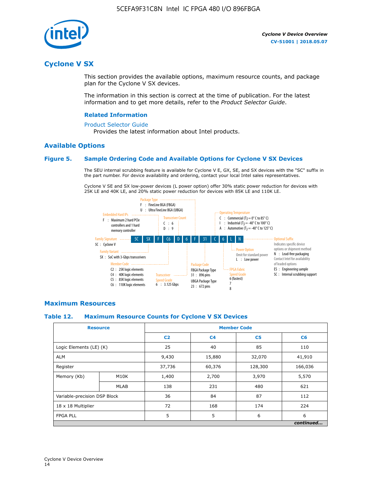

# **Cyclone V SX**

This section provides the available options, maximum resource counts, and package plan for the Cyclone V SX devices.

The information in this section is correct at the time of publication. For the latest information and to get more details, refer to the *Product Selector Guide*.

#### **Related Information**

#### [Product Selector Guide](https://www.altera.com/products/product-selector-guide.html)

Provides the latest information about Intel products.

## **Available Options**

#### **Figure 5. Sample Ordering Code and Available Options for Cyclone V SX Devices**

The SEU internal scrubbing feature is available for Cyclone V E, GX, SE, and SX devices with the "SC" suffix in the part number. For device availability and ordering, contact your local Intel sales representatives.

Cyclone V SE and SX low-power devices (L power option) offer 30% static power reduction for devices with 25K LE and 40K LE, and 20% static power reduction for devices with 85K LE and 110K LE.



#### **Maximum Resources**

#### **Table 12. Maximum Resource Counts for Cyclone V SX Devices**

|                              | <b>Resource</b> | <b>Member Code</b> |                |                |           |  |
|------------------------------|-----------------|--------------------|----------------|----------------|-----------|--|
|                              |                 | C <sub>2</sub>     | C <sub>4</sub> | C <sub>5</sub> | C6        |  |
| Logic Elements (LE) (K)      |                 | 25                 | 40             | 85             | 110       |  |
| <b>ALM</b>                   |                 | 9,430              | 15,880         | 32,070         | 41,910    |  |
| Register                     |                 | 37,736             | 60,376         | 128,300        | 166,036   |  |
| Memory (Kb)                  | M10K            | 1,400              | 2,700          | 3,970          | 5,570     |  |
|                              | <b>MLAB</b>     | 138                | 231            | 480            | 621       |  |
| Variable-precision DSP Block |                 | 36                 | 84             | 87             | 112       |  |
| 18 x 18 Multiplier           |                 | 72                 | 168            | 174            | 224       |  |
| <b>FPGA PLL</b>              |                 | 5                  | 5              | 6              | 6         |  |
|                              |                 |                    |                |                | continued |  |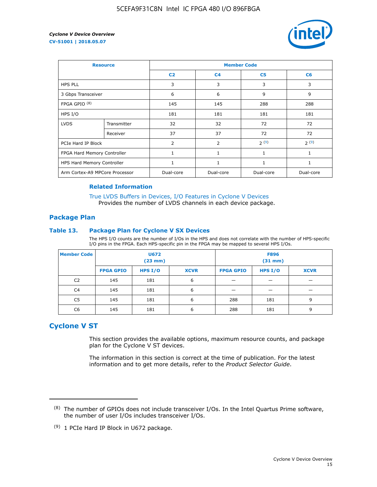

| <b>Resource</b>                |             | <b>Member Code</b> |                |                |                |  |  |
|--------------------------------|-------------|--------------------|----------------|----------------|----------------|--|--|
|                                |             | C <sub>2</sub>     | C <sub>4</sub> | C <sub>5</sub> | C <sub>6</sub> |  |  |
| <b>HPS PLL</b>                 |             | 3                  | 3              | 3              | 3              |  |  |
| 3 Gbps Transceiver             |             | 6                  | 6              | 9              | 9              |  |  |
| FPGA GPIO <sup>(8)</sup>       |             | 145                | 145            | 288            | 288            |  |  |
| HPS I/O                        |             | 181                | 181            | 181            | 181            |  |  |
| <b>LVDS</b>                    | Transmitter | 32                 | 32             | 72             | 72             |  |  |
|                                | Receiver    | 37                 | 37             | 72             | 72             |  |  |
| PCIe Hard IP Block             |             | $\overline{2}$     | $\overline{2}$ | 2(9)           | 2(9)           |  |  |
| FPGA Hard Memory Controller    |             |                    | 1              | 1              | 1              |  |  |
| HPS Hard Memory Controller     |             | 1                  | $\mathbf{1}$   | 1              | 1              |  |  |
| Arm Cortex-A9 MPCore Processor |             | Dual-core          | Dual-core      | Dual-core      | Dual-core      |  |  |

#### **Related Information**

[True LVDS Buffers in Devices, I/O Features in Cyclone V Devices](https://www.altera.com/documentation/sam1403481100977.html#sam1403480885395) Provides the number of LVDS channels in each device package.

#### **Package Plan**

#### **Table 13. Package Plan for Cyclone V SX Devices**

The HPS I/O counts are the number of I/Os in the HPS and does not correlate with the number of HPS-specific I/O pins in the FPGA. Each HPS-specific pin in the FPGA may be mapped to several HPS I/Os.

| <b>Member Code</b> | U672<br>(23 mm)  |           | <b>F896</b><br>$(31$ mm $)$ |                  |         |             |
|--------------------|------------------|-----------|-----------------------------|------------------|---------|-------------|
|                    | <b>FPGA GPIO</b> | HPS $I/O$ | <b>XCVR</b>                 | <b>FPGA GPIO</b> | HPS I/O | <b>XCVR</b> |
| C <sub>2</sub>     | 145              | 181       | 6                           |                  |         |             |
| C4                 | 145              | 181       | 6                           |                  |         |             |
| C <sub>5</sub>     | 145              | 181       | 6                           | 288              | 181     | 9           |
| C6                 | 145              | 181       | 6                           | 288              | 181     | 9           |

# **Cyclone V ST**

This section provides the available options, maximum resource counts, and package plan for the Cyclone V ST devices.

The information in this section is correct at the time of publication. For the latest information and to get more details, refer to the *Product Selector Guide*.

 $(8)$  The number of GPIOs does not include transceiver I/Os. In the Intel Quartus Prime software, the number of user I/Os includes transceiver I/Os.

<sup>(9)</sup> 1 PCIe Hard IP Block in U672 package.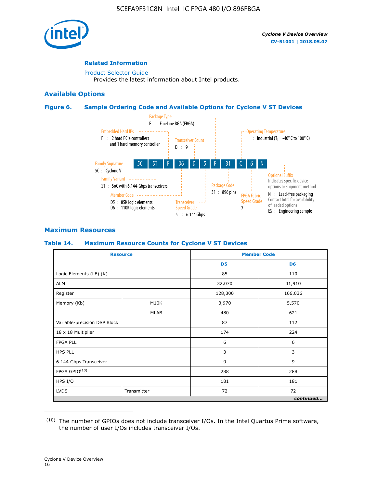

#### **Related Information**

[Product Selector Guide](https://www.altera.com/products/product-selector-guide.html) Provides the latest information about Intel products.

#### **Available Options**

#### **Figure 6. Sample Ordering Code and Available Options for Cyclone V ST Devices**



## **Maximum Resources**

#### **Table 14. Maximum Resource Counts for Cyclone V ST Devices**

| <b>Resource</b>              |             |                | <b>Member Code</b> |
|------------------------------|-------------|----------------|--------------------|
|                              |             | D <sub>5</sub> | D <sub>6</sub>     |
| Logic Elements (LE) (K)      |             | 85             | 110                |
| <b>ALM</b>                   |             | 32,070         | 41,910             |
| Register                     |             | 128,300        | 166,036            |
| Memory (Kb)                  | M10K        | 3,970          | 5,570              |
|                              | <b>MLAB</b> | 480            | 621                |
| Variable-precision DSP Block |             | 87             | 112                |
| 18 x 18 Multiplier           |             | 174            | 224                |
| <b>FPGA PLL</b>              |             | 6              | 6                  |
| <b>HPS PLL</b>               |             | 3              | 3                  |
| 6.144 Gbps Transceiver       |             | 9              | 9                  |
| FPGA GPIO(10)                |             | 288            | 288                |
| HPS I/O                      |             | 181            | 181                |
| <b>LVDS</b><br>Transmitter   |             | 72             | 72                 |
|                              |             |                | continued          |

<sup>(10)</sup> The number of GPIOs does not include transceiver I/Os. In the Intel Quartus Prime software, the number of user I/Os includes transceiver I/Os.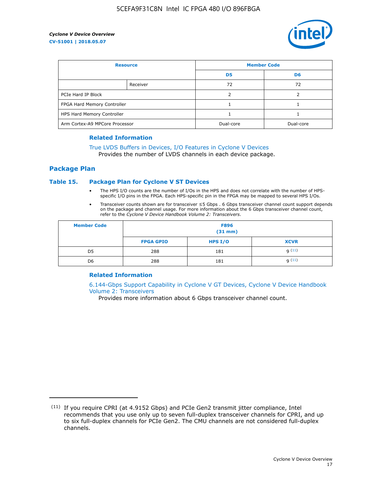

| <b>Resource</b>                |          | <b>Member Code</b> |                |  |
|--------------------------------|----------|--------------------|----------------|--|
|                                |          | D <sub>5</sub>     | D <sub>6</sub> |  |
|                                | Receiver | 72                 | 72             |  |
| PCIe Hard IP Block             |          |                    |                |  |
| FPGA Hard Memory Controller    |          |                    |                |  |
| HPS Hard Memory Controller     |          |                    |                |  |
| Arm Cortex-A9 MPCore Processor |          | Dual-core          | Dual-core      |  |

#### **Related Information**

# [True LVDS Buffers in Devices, I/O Features in Cyclone V Devices](https://www.altera.com/documentation/sam1403481100977.html#sam1403480885395)

Provides the number of LVDS channels in each device package.

#### **Package Plan**

#### **Table 15. Package Plan for Cyclone V ST Devices**

- The HPS I/O counts are the number of I/Os in the HPS and does not correlate with the number of HPSspecific I/O pins in the FPGA. Each HPS-specific pin in the FPGA may be mapped to several HPS I/Os.
- Transceiver counts shown are for transceiver ≤5 Gbps . 6 Gbps transceiver channel count support depends on the package and channel usage. For more information about the 6 Gbps transceiver channel count, refer to the *Cyclone V Device Handbook Volume 2: Transceivers*.

| <b>Member Code</b> | <b>F896</b><br>$(31$ mm $)$ |           |             |  |  |
|--------------------|-----------------------------|-----------|-------------|--|--|
|                    | <b>FPGA GPIO</b>            | HPS $I/O$ | <b>XCVR</b> |  |  |
| D <sub>5</sub>     | 288                         | 181       | 9(11)       |  |  |
| D <sub>6</sub>     | 288                         | 181       | q(11)       |  |  |

#### **Related Information**

[6.144-Gbps Support Capability in Cyclone V GT Devices, Cyclone V Device Handbook](https://www.altera.com/documentation/nik1409855456781.html#nik1409855410757) [Volume 2: Transceivers](https://www.altera.com/documentation/nik1409855456781.html#nik1409855410757)

Provides more information about 6 Gbps transceiver channel count.

<sup>(11)</sup> If you require CPRI (at 4.9152 Gbps) and PCIe Gen2 transmit jitter compliance, Intel recommends that you use only up to seven full-duplex transceiver channels for CPRI, and up to six full-duplex channels for PCIe Gen2. The CMU channels are not considered full-duplex channels.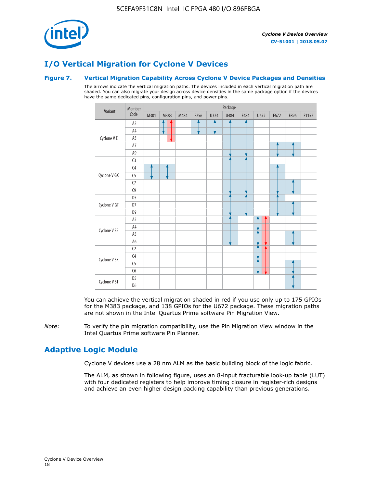

# **I/O Vertical Migration for Cyclone V Devices**

#### **Figure 7. Vertical Migration Capability Across Cyclone V Device Packages and Densities**

The arrows indicate the vertical migration paths. The devices included in each vertical migration path are shaded. You can also migrate your design across device densities in the same package option if the devices have the same dedicated pins, configuration pins, and power pins.



You can achieve the vertical migration shaded in red if you use only up to 175 GPIOs for the M383 package, and 138 GPIOs for the U672 package. These migration paths are not shown in the Intel Quartus Prime software Pin Migration View.

*Note:* To verify the pin migration compatibility, use the Pin Migration View window in the Intel Quartus Prime software Pin Planner.

# **Adaptive Logic Module**

Cyclone V devices use a 28 nm ALM as the basic building block of the logic fabric.

The ALM, as shown in following figure, uses an 8-input fracturable look-up table (LUT) with four dedicated registers to help improve timing closure in register-rich designs and achieve an even higher design packing capability than previous generations.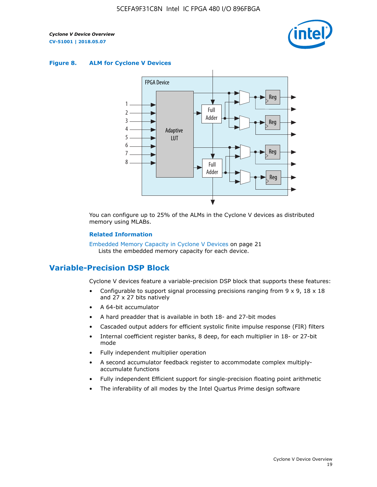

#### **Figure 8. ALM for Cyclone V Devices**



You can configure up to 25% of the ALMs in the Cyclone V devices as distributed memory using MLABs.

#### **Related Information**

Embedded Memory Capacity in Cyclone V Devices on page 21 Lists the embedded memory capacity for each device.

# **Variable-Precision DSP Block**

Cyclone V devices feature a variable-precision DSP block that supports these features:

- Configurable to support signal processing precisions ranging from  $9 \times 9$ ,  $18 \times 18$ and 27 x 27 bits natively
- A 64-bit accumulator
- A hard preadder that is available in both 18- and 27-bit modes
- Cascaded output adders for efficient systolic finite impulse response (FIR) filters
- Internal coefficient register banks, 8 deep, for each multiplier in 18- or 27-bit mode
- Fully independent multiplier operation
- A second accumulator feedback register to accommodate complex multiplyaccumulate functions
- Fully independent Efficient support for single-precision floating point arithmetic
- The inferability of all modes by the Intel Quartus Prime design software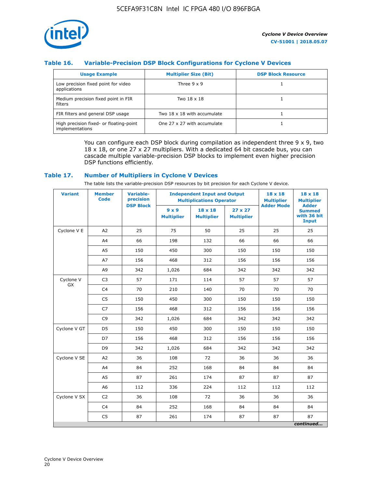![](_page_20_Picture_1.jpeg)

## **Table 16. Variable-Precision DSP Block Configurations for Cyclone V Devices**

| <b>Usage Example</b>                                       | <b>Multiplier Size (Bit)</b> | <b>DSP Block Resource</b> |
|------------------------------------------------------------|------------------------------|---------------------------|
| Low precision fixed point for video<br>applications        | Three $9 \times 9$           |                           |
| Medium precision fixed point in FIR<br>filters             | Two 18 x 18                  |                           |
| FIR filters and general DSP usage                          | Two 18 x 18 with accumulate  |                           |
| High precision fixed- or floating-point<br>implementations | One 27 x 27 with accumulate  |                           |

You can configure each DSP block during compilation as independent three  $9 \times 9$ , two 18 x 18, or one 27 x 27 multipliers. With a dedicated 64 bit cascade bus, you can cascade multiple variable-precision DSP blocks to implement even higher precision DSP functions efficiently.

#### **Table 17. Number of Multipliers in Cyclone V Devices**

The table lists the variable-precision DSP resources by bit precision for each Cyclone V device.

| <b>Variant</b>         | <b>Member</b><br><b>Code</b> | <b>Variable-</b><br>precision |                                   | <b>Independent Input and Output</b><br><b>Multiplications Operator</b> | $18 \times 18$<br><b>Multiplier</b> | $18 \times 18$<br><b>Multiplier</b> |                                                              |
|------------------------|------------------------------|-------------------------------|-----------------------------------|------------------------------------------------------------------------|-------------------------------------|-------------------------------------|--------------------------------------------------------------|
|                        |                              | <b>DSP Block</b>              | $9 \times 9$<br><b>Multiplier</b> | $18 \times 18$<br><b>Multiplier</b>                                    | $27 \times 27$<br><b>Multiplier</b> | <b>Adder Mode</b>                   | <b>Adder</b><br><b>Summed</b><br>with 36 bit<br><b>Input</b> |
| Cyclone V E            | A2                           | 25                            | 75                                | 50                                                                     | 25                                  | 25                                  | 25                                                           |
|                        | A4                           | 66                            | 198                               | 132                                                                    | 66                                  | 66                                  | 66                                                           |
|                        | A5                           | 150                           | 450                               | 300                                                                    | 150                                 | 150                                 | 150                                                          |
|                        | A7                           | 156                           | 468                               | 312                                                                    | 156                                 | 156                                 | 156                                                          |
|                        | A9                           | 342                           | 1,026                             | 684                                                                    | 342                                 | 342                                 | 342                                                          |
| Cyclone V<br><b>GX</b> | C <sub>3</sub>               | 57                            | 171                               | 114                                                                    | 57                                  | 57                                  | 57                                                           |
|                        | C <sub>4</sub>               | 70                            | 210                               | 140                                                                    | 70                                  | 70                                  | 70                                                           |
|                        | C <sub>5</sub>               | 150                           | 450                               | 300                                                                    | 150                                 | 150                                 | 150                                                          |
|                        | C <sub>7</sub>               | 156                           | 468                               | 312                                                                    | 156                                 | 156                                 | 156                                                          |
|                        | C <sub>9</sub>               | 342                           | 1,026                             | 684                                                                    | 342                                 | 342                                 | 342                                                          |
| Cyclone V GT           | D <sub>5</sub>               | 150                           | 450                               | 300                                                                    | 150                                 | 150                                 | 150                                                          |
|                        | D7                           | 156                           | 468                               | 312                                                                    | 156                                 | 156                                 | 156                                                          |
|                        | D <sub>9</sub>               | 342                           | 1,026                             | 684                                                                    | 342                                 | 342                                 | 342                                                          |
| Cyclone V SE           | A <sub>2</sub>               | 36                            | 108                               | 72                                                                     | 36                                  | 36                                  | 36                                                           |
|                        | A4                           | 84                            | 252                               | 168                                                                    | 84                                  | 84                                  | 84                                                           |
|                        | A5                           | 87                            | 261                               | 174                                                                    | 87                                  | 87                                  | 87                                                           |
|                        | A <sub>6</sub>               | 112                           | 336                               | 224                                                                    | 112                                 | 112                                 | 112                                                          |
| Cyclone V SX           | C <sub>2</sub>               | 36                            | 108                               | 72                                                                     | 36                                  | 36                                  | 36                                                           |
|                        | C <sub>4</sub>               | 84                            | 252                               | 168                                                                    | 84                                  | 84                                  | 84                                                           |
|                        | C <sub>5</sub>               | 87                            | 261                               | 174                                                                    | 87                                  | 87                                  | 87                                                           |
|                        |                              |                               |                                   |                                                                        |                                     |                                     | continued                                                    |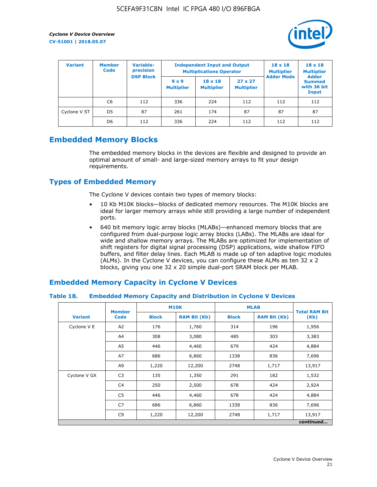![](_page_21_Picture_2.jpeg)

| <b>Variant</b> | <b>Variable-</b><br><b>Member</b><br>precision<br><b>Code</b> |                  |                                   | <b>Independent Input and Output</b><br><b>Multiplications Operator</b> | $18 \times 18$<br><b>Multiplier</b> | $18 \times 18$<br><b>Multiplier</b><br><b>Adder</b> |                                       |
|----------------|---------------------------------------------------------------|------------------|-----------------------------------|------------------------------------------------------------------------|-------------------------------------|-----------------------------------------------------|---------------------------------------|
|                |                                                               | <b>DSP Block</b> | $9 \times 9$<br><b>Multiplier</b> | $18 \times 18$<br><b>Multiplier</b>                                    | $27 \times 27$<br><b>Multiplier</b> | <b>Adder Mode</b>                                   | <b>Summed</b><br>with 36 bit<br>Input |
|                | C6                                                            | 112              | 336                               | 224                                                                    | 112                                 | 112                                                 | 112                                   |
| Cyclone V ST   | D <sub>5</sub>                                                | 87               | 261                               | 174                                                                    | 87                                  | 87                                                  | 87                                    |
|                | D <sub>6</sub>                                                | 112              | 336                               | 224                                                                    | 112                                 | 112                                                 | 112                                   |

# **Embedded Memory Blocks**

The embedded memory blocks in the devices are flexible and designed to provide an optimal amount of small- and large-sized memory arrays to fit your design requirements.

# **Types of Embedded Memory**

The Cyclone V devices contain two types of memory blocks:

- 10 Kb M10K blocks—blocks of dedicated memory resources. The M10K blocks are ideal for larger memory arrays while still providing a large number of independent ports.
- 640 bit memory logic array blocks (MLABs)—enhanced memory blocks that are configured from dual-purpose logic array blocks (LABs). The MLABs are ideal for wide and shallow memory arrays. The MLABs are optimized for implementation of shift registers for digital signal processing (DSP) applications, wide shallow FIFO buffers, and filter delay lines. Each MLAB is made up of ten adaptive logic modules (ALMs). In the Cyclone V devices, you can configure these ALMs as ten 32 x 2 blocks, giving you one 32 x 20 simple dual-port SRAM block per MLAB.

# **Embedded Memory Capacity in Cyclone V Devices**

#### **Table 18. Embedded Memory Capacity and Distribution in Cyclone V Devices**

|                | <b>Member</b>  | <b>M10K</b>  |                     | <b>MLAB</b>  | <b>Total RAM Bit</b> |           |
|----------------|----------------|--------------|---------------------|--------------|----------------------|-----------|
| <b>Variant</b> | <b>Code</b>    | <b>Block</b> | <b>RAM Bit (Kb)</b> | <b>Block</b> | <b>RAM Bit (Kb)</b>  | (Kb)      |
| Cyclone V E    | A2             | 176          | 1,760               | 314          | 196                  | 1,956     |
|                | A4             | 308          | 3,080               | 485          | 303                  | 3,383     |
|                | A5             | 446          | 4,460               | 679          | 424                  | 4,884     |
|                | A7             | 686          | 6,860               | 1338         | 836                  | 7,696     |
|                | A9             | 1,220        | 12,200              | 2748         | 1,717                | 13,917    |
| Cyclone V GX   | C <sub>3</sub> | 135          | 1,350               | 291          | 182                  | 1,532     |
|                | C4             | 250          | 2,500               | 678          | 424                  | 2,924     |
|                | C <sub>5</sub> | 446          | 4,460               | 678          | 424                  | 4,884     |
|                | C7             | 686          | 6,860               | 1338         | 836                  | 7,696     |
|                | C <sub>9</sub> | 1,220        | 12,200              | 2748         | 1,717                | 13,917    |
|                |                |              |                     |              |                      | continued |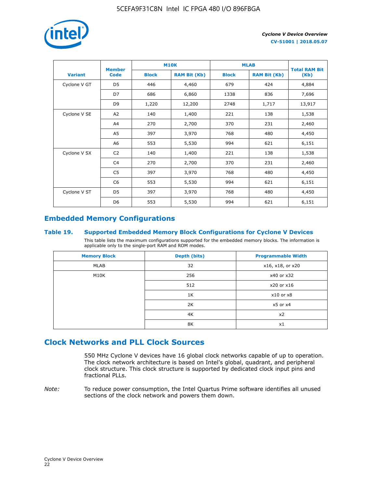![](_page_22_Picture_1.jpeg)

|                | <b>Member</b>  | <b>M10K</b>  |                     | <b>MLAB</b>  | <b>Total RAM Bit</b> |        |
|----------------|----------------|--------------|---------------------|--------------|----------------------|--------|
| <b>Variant</b> | <b>Code</b>    | <b>Block</b> | <b>RAM Bit (Kb)</b> | <b>Block</b> | <b>RAM Bit (Kb)</b>  | (Kb)   |
| Cyclone V GT   | D <sub>5</sub> | 446          | 4,460               | 679          | 424                  | 4,884  |
|                | D7             | 686          | 6,860               | 1338         | 836                  | 7,696  |
|                | D <sub>9</sub> | 1,220        | 12,200              | 2748         | 1,717                | 13,917 |
| Cyclone V SE   | A <sub>2</sub> | 140          | 1,400               | 221          | 138                  | 1,538  |
|                | A4             | 270          | 2,700               | 370          | 231                  | 2,460  |
|                | A5             | 397          | 3,970               | 768          | 480                  | 4,450  |
|                | A <sub>6</sub> | 553          | 5,530               | 994          | 621                  | 6,151  |
| Cyclone V SX   | C <sub>2</sub> | 140          | 1,400               | 221          | 138                  | 1,538  |
|                | C <sub>4</sub> | 270          | 2,700               | 370          | 231                  | 2,460  |
|                | C <sub>5</sub> | 397          | 3,970               | 768          | 480                  | 4,450  |
|                | C <sub>6</sub> | 553          | 5,530               | 994          | 621                  | 6,151  |
| Cyclone V ST   | D <sub>5</sub> | 397          | 3,970               | 768          | 480                  | 4,450  |
|                | D <sub>6</sub> | 553          | 5,530               | 994          | 621                  | 6,151  |

# **Embedded Memory Configurations**

#### **Table 19. Supported Embedded Memory Block Configurations for Cyclone V Devices**

This table lists the maximum configurations supported for the embedded memory blocks. The information is applicable only to the single-port RAM and ROM modes.

| <b>Memory Block</b> | Depth (bits) | <b>Programmable Width</b> |
|---------------------|--------------|---------------------------|
| MLAB                | 32           | x16, x18, or x20          |
| M10K                | 256          | x40 or x32                |
|                     | 512          | x20 or x16                |
|                     | 1K           | $x10$ or $x8$             |
|                     | 2K           | $x5$ or $x4$              |
|                     | 4K           | x2                        |
|                     | 8K           | x1                        |

# **Clock Networks and PLL Clock Sources**

550 MHz Cyclone V devices have 16 global clock networks capable of up to operation. The clock network architecture is based on Intel's global, quadrant, and peripheral clock structure. This clock structure is supported by dedicated clock input pins and fractional PLLs.

*Note:* To reduce power consumption, the Intel Quartus Prime software identifies all unused sections of the clock network and powers them down.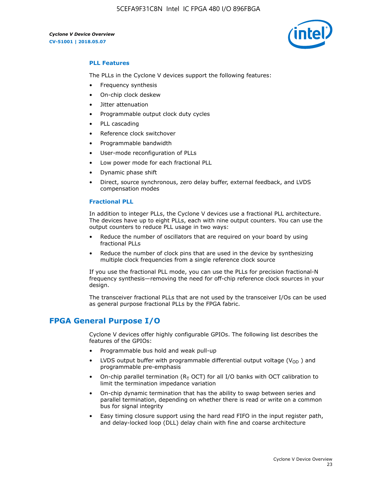5CEFA9F31C8N Intel IC FPGA 480 I/O 896FBGA

![](_page_23_Picture_2.jpeg)

#### **PLL Features**

The PLLs in the Cyclone V devices support the following features:

- Frequency synthesis
- On-chip clock deskew
- Jitter attenuation
- Programmable output clock duty cycles
- PLL cascading
- Reference clock switchover
- Programmable bandwidth
- User-mode reconfiguration of PLLs
- Low power mode for each fractional PLL
- Dynamic phase shift
- Direct, source synchronous, zero delay buffer, external feedback, and LVDS compensation modes

#### **Fractional PLL**

In addition to integer PLLs, the Cyclone V devices use a fractional PLL architecture. The devices have up to eight PLLs, each with nine output counters. You can use the output counters to reduce PLL usage in two ways:

- Reduce the number of oscillators that are required on your board by using fractional PLLs
- Reduce the number of clock pins that are used in the device by synthesizing multiple clock frequencies from a single reference clock source

If you use the fractional PLL mode, you can use the PLLs for precision fractional-N frequency synthesis—removing the need for off-chip reference clock sources in your design.

The transceiver fractional PLLs that are not used by the transceiver I/Os can be used as general purpose fractional PLLs by the FPGA fabric.

# **FPGA General Purpose I/O**

Cyclone V devices offer highly configurable GPIOs. The following list describes the features of the GPIOs:

- Programmable bus hold and weak pull-up
- LVDS output buffer with programmable differential output voltage ( $V_{OD}$ ) and programmable pre-emphasis
- On-chip parallel termination ( $R<sub>T</sub>$  OCT) for all I/O banks with OCT calibration to limit the termination impedance variation
- On-chip dynamic termination that has the ability to swap between series and parallel termination, depending on whether there is read or write on a common bus for signal integrity
- Easy timing closure support using the hard read FIFO in the input register path, and delay-locked loop (DLL) delay chain with fine and coarse architecture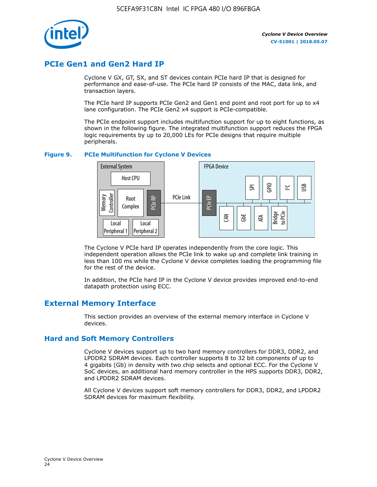![](_page_24_Picture_1.jpeg)

# **PCIe Gen1 and Gen2 Hard IP**

Cyclone V GX, GT, SX, and ST devices contain PCIe hard IP that is designed for performance and ease-of-use. The PCIe hard IP consists of the MAC, data link, and transaction layers.

The PCIe hard IP supports PCIe Gen2 and Gen1 end point and root port for up to x4 lane configuration. The PCIe Gen2 x4 support is PCIe-compatible.

The PCIe endpoint support includes multifunction support for up to eight functions, as shown in the following figure. The integrated multifunction support reduces the FPGA logic requirements by up to 20,000 LEs for PCIe designs that require multiple peripherals.

#### **Figure 9. PCIe Multifunction for Cyclone V Devices**

![](_page_24_Figure_8.jpeg)

The Cyclone V PCIe hard IP operates independently from the core logic. This independent operation allows the PCIe link to wake up and complete link training in less than 100 ms while the Cyclone V device completes loading the programming file for the rest of the device.

In addition, the PCIe hard IP in the Cyclone V device provides improved end-to-end datapath protection using ECC.

# **External Memory Interface**

This section provides an overview of the external memory interface in Cyclone V devices.

## **Hard and Soft Memory Controllers**

Cyclone V devices support up to two hard memory controllers for DDR3, DDR2, and LPDDR2 SDRAM devices. Each controller supports 8 to 32 bit components of up to 4 gigabits (Gb) in density with two chip selects and optional ECC. For the Cyclone V SoC devices, an additional hard memory controller in the HPS supports DDR3, DDR2, and LPDDR2 SDRAM devices.

All Cyclone V devices support soft memory controllers for DDR3, DDR2, and LPDDR2 SDRAM devices for maximum flexibility.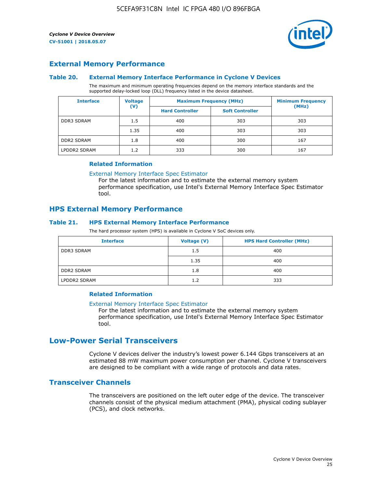![](_page_25_Picture_2.jpeg)

## **External Memory Performance**

#### **Table 20. External Memory Interface Performance in Cyclone V Devices**

The maximum and minimum operating frequencies depend on the memory interface standards and the supported delay-locked loop (DLL) frequency listed in the device datasheet.

| <b>Interface</b>  | <b>Voltage</b> | <b>Maximum Frequency (MHz)</b> | <b>Minimum Frequency</b> |       |  |
|-------------------|----------------|--------------------------------|--------------------------|-------|--|
|                   | $(\mathsf{V})$ | <b>Hard Controller</b>         | <b>Soft Controller</b>   | (MHz) |  |
| <b>DDR3 SDRAM</b> | 1.5            | 400                            | 303                      | 303   |  |
|                   | 1.35           | 400                            | 303                      | 303   |  |
| <b>DDR2 SDRAM</b> | 1.8            | 400                            | 300                      | 167   |  |
| LPDDR2 SDRAM      | 1.2            | 333                            | 300                      | 167   |  |

#### **Related Information**

[External Memory Interface Spec Estimator](https://www.altera.com/solutions/technology/external-memory/spec-estimator.html)

For the latest information and to estimate the external memory system performance specification, use Intel's External Memory Interface Spec Estimator tool.

## **HPS External Memory Performance**

#### **Table 21. HPS External Memory Interface Performance**

The hard processor system (HPS) is available in Cyclone V SoC devices only.

| <b>Interface</b>  | Voltage (V) | <b>HPS Hard Controller (MHz)</b> |
|-------------------|-------------|----------------------------------|
| <b>DDR3 SDRAM</b> | 1.5         | 400                              |
|                   | 1.35        | 400                              |
| <b>DDR2 SDRAM</b> | 1.8         | 400                              |
| LPDDR2 SDRAM      | 1.2         | 333                              |

#### **Related Information**

#### [External Memory Interface Spec Estimator](https://www.altera.com/solutions/technology/external-memory/spec-estimator.html)

For the latest information and to estimate the external memory system performance specification, use Intel's External Memory Interface Spec Estimator tool.

# **Low-Power Serial Transceivers**

Cyclone V devices deliver the industry's lowest power 6.144 Gbps transceivers at an estimated 88 mW maximum power consumption per channel. Cyclone V transceivers are designed to be compliant with a wide range of protocols and data rates.

## **Transceiver Channels**

The transceivers are positioned on the left outer edge of the device. The transceiver channels consist of the physical medium attachment (PMA), physical coding sublayer (PCS), and clock networks.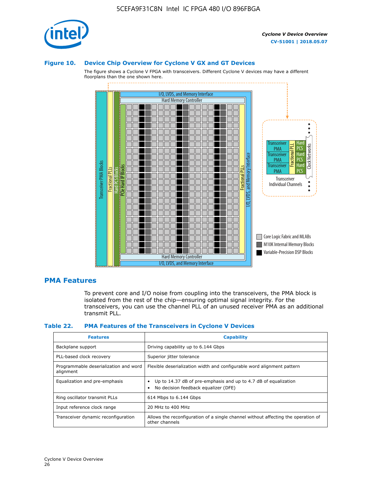![](_page_26_Picture_1.jpeg)

#### **Figure 10. Device Chip Overview for Cyclone V GX and GT Devices**

The figure shows a Cyclone V FPGA with transceivers. Different Cyclone V devices may have a different floorplans than the one shown here.

![](_page_26_Figure_5.jpeg)

## **PMA Features**

To prevent core and I/O noise from coupling into the transceivers, the PMA block is isolated from the rest of the chip—ensuring optimal signal integrity. For the transceivers, you can use the channel PLL of an unused receiver PMA as an additional transmit PLL.

#### **Table 22. PMA Features of the Transceivers in Cyclone V Devices**

| <b>Features</b>                                    | <b>Capability</b>                                                                                       |
|----------------------------------------------------|---------------------------------------------------------------------------------------------------------|
| Backplane support                                  | Driving capability up to 6.144 Gbps                                                                     |
| PLL-based clock recovery                           | Superior jitter tolerance                                                                               |
| Programmable deserialization and word<br>alignment | Flexible deserialization width and configurable word alignment pattern                                  |
| Equalization and pre-emphasis                      | Up to 14.37 dB of pre-emphasis and up to 4.7 dB of equalization<br>No decision feedback equalizer (DFE) |
| Ring oscillator transmit PLLs                      | 614 Mbps to 6.144 Gbps                                                                                  |
| Input reference clock range                        | 20 MHz to 400 MHz                                                                                       |
| Transceiver dynamic reconfiguration                | Allows the reconfiguration of a single channel without affecting the operation of<br>other channels     |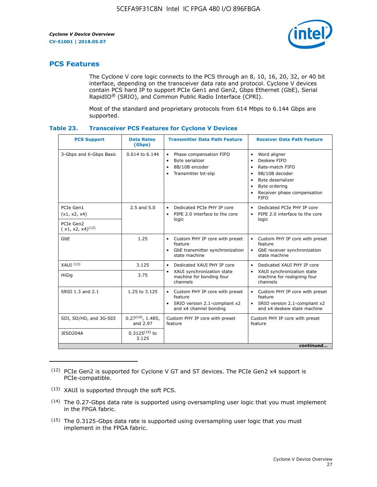![](_page_27_Picture_2.jpeg)

# **PCS Features**

The Cyclone V core logic connects to the PCS through an 8, 10, 16, 20, 32, or 40 bit interface, depending on the transceiver data rate and protocol. Cyclone V devices contain PCS hard IP to support PCIe Gen1 and Gen2, Gbps Ethernet (GbE), Serial RapidIO® (SRIO), and Common Public Radio Interface (CPRI).

Most of the standard and proprietary protocols from 614 Mbps to 6.144 Gbps are supported.

| Table 23. |  | <b>Transceiver PCS Features for Cyclone V Devices</b> |
|-----------|--|-------------------------------------------------------|
|           |  |                                                       |

| <b>PCS Support</b>                 | <b>Data Rates</b><br>(Gbps)        | <b>Transmitter Data Path Feature</b>                                                                         | <b>Receiver Data Path Feature</b>                                                                                                                                                                                                  |  |  |
|------------------------------------|------------------------------------|--------------------------------------------------------------------------------------------------------------|------------------------------------------------------------------------------------------------------------------------------------------------------------------------------------------------------------------------------------|--|--|
| 3-Gbps and 6-Gbps Basic            | 0.614 to 6.144                     | • Phase compensation FIFO<br>Byte serializer<br>8B/10B encoder<br>Transmitter bit-slip                       | Word aligner<br>$\bullet$<br>Deskew FIFO<br>$\bullet$<br>Rate-match FIFO<br>$\bullet$<br>8B/10B decoder<br>$\bullet$<br>Byte deserializer<br>$\bullet$<br>Byte ordering<br>$\bullet$<br>Receiver phase compensation<br><b>FIFO</b> |  |  |
| PCIe Gen1<br>(x1, x2, x4)          | $2.5$ and $5.0$                    | Dedicated PCIe PHY IP core<br>PIPE 2.0 interface to the core<br>$\bullet$<br>logic                           | Dedicated PCIe PHY IP core<br>$\bullet$<br>PIPE 2.0 interface to the core<br>$\bullet$<br>logic                                                                                                                                    |  |  |
| PCIe Gen2<br>$(x1, x2, x4)^{(12)}$ |                                    |                                                                                                              |                                                                                                                                                                                                                                    |  |  |
| GbE                                | 1.25                               | • Custom PHY IP core with preset<br>feature<br>GbE transmitter synchronization<br>$\bullet$<br>state machine | • Custom PHY IP core with preset<br>feature<br>GbE receiver synchronization<br>state machine                                                                                                                                       |  |  |
| $XAUI$ $(13)$                      | 3.125                              | Dedicated XAUI PHY IP core<br>$\bullet$                                                                      | Dedicated XAUI PHY IP core<br>$\bullet$                                                                                                                                                                                            |  |  |
| <b>HiGig</b>                       | 3.75                               | XAUI synchronization state<br>$\bullet$<br>machine for bonding four<br>channels                              | XAUI synchronization state<br>$\bullet$<br>machine for realigning four<br>channels                                                                                                                                                 |  |  |
| SRIO 1.3 and 2.1                   | 1.25 to 3.125                      | • Custom PHY IP core with preset<br>feature<br>• SRIO version 2.1-compliant x2<br>and x4 channel bonding     | • Custom PHY IP core with preset<br>feature<br>• SRIO version 2.1-compliant x2<br>and x4 deskew state machine                                                                                                                      |  |  |
| SDI, SD/HD, and 3G-SDI             | $0.27^{(14)}$ , 1.485,<br>and 2.97 | Custom PHY IP core with preset<br>feature                                                                    | Custom PHY IP core with preset<br>feature                                                                                                                                                                                          |  |  |
| JESD204A                           | $0.3125^{(15)}$ to<br>3.125        |                                                                                                              |                                                                                                                                                                                                                                    |  |  |
| continued                          |                                    |                                                                                                              |                                                                                                                                                                                                                                    |  |  |

<sup>(12)</sup> PCIe Gen2 is supported for Cyclone V GT and ST devices. The PCIe Gen2 x4 support is PCIe-compatible.

<sup>(13)</sup> XAUI is supported through the soft PCS.

<sup>(14)</sup> The 0.27-Gbps data rate is supported using oversampling user logic that you must implement in the FPGA fabric.

<sup>(15)</sup> The 0.3125-Gbps data rate is supported using oversampling user logic that you must implement in the FPGA fabric.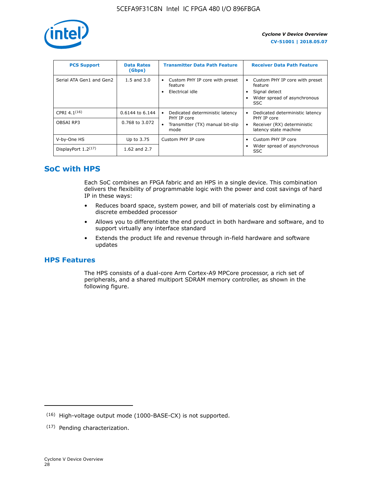![](_page_28_Picture_1.jpeg)

| <b>PCS Support</b>       | <b>Data Rates</b><br>(Gbps) | <b>Transmitter Data Path Feature</b>                         | <b>Receiver Data Path Feature</b>                                                                  |
|--------------------------|-----------------------------|--------------------------------------------------------------|----------------------------------------------------------------------------------------------------|
| Serial ATA Gen1 and Gen2 | $1.5$ and $3.0$             | Custom PHY IP core with preset<br>feature<br>Electrical idle | Custom PHY IP core with preset<br>feature<br>Signal detect<br>Wider spread of asynchronous<br>SSC. |
| CPRI $4.1^{(16)}$        | 0.6144 to 6.144             | Dedicated deterministic latency<br>$\bullet$<br>PHY IP core  | Dedicated deterministic latency<br>PHY IP core                                                     |
| OBSAI RP3                | 0.768 to 3.072              | Transmitter (TX) manual bit-slip<br>mode                     | Receiver (RX) deterministic<br>latency state machine                                               |
| V-by-One HS              | Up to 3.75                  | Custom PHY IP core                                           | Custom PHY IP core                                                                                 |
| DisplayPort $1.2^{(17)}$ | 1.62 and $2.7$              |                                                              | Wider spread of asynchronous<br><b>SSC</b>                                                         |

# **SoC with HPS**

Each SoC combines an FPGA fabric and an HPS in a single device. This combination delivers the flexibility of programmable logic with the power and cost savings of hard IP in these ways:

- Reduces board space, system power, and bill of materials cost by eliminating a discrete embedded processor
- Allows you to differentiate the end product in both hardware and software, and to support virtually any interface standard
- Extends the product life and revenue through in-field hardware and software updates

# **HPS Features**

The HPS consists of a dual-core Arm Cortex-A9 MPCore processor, a rich set of peripherals, and a shared multiport SDRAM memory controller, as shown in the following figure.

<sup>(16)</sup> High-voltage output mode (1000-BASE-CX) is not supported.

<sup>(17)</sup> Pending characterization.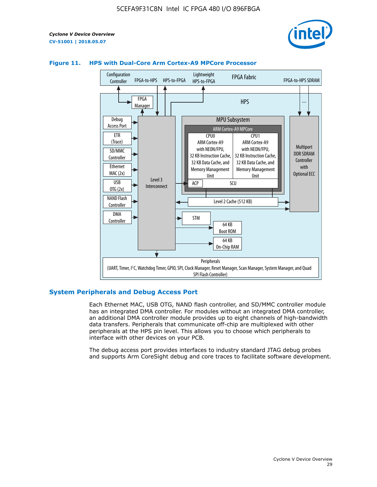![](_page_29_Picture_2.jpeg)

![](_page_29_Figure_3.jpeg)

#### **Figure 11. HPS with Dual-Core Arm Cortex-A9 MPCore Processor**

#### **System Peripherals and Debug Access Port**

Each Ethernet MAC, USB OTG, NAND flash controller, and SD/MMC controller module has an integrated DMA controller. For modules without an integrated DMA controller, an additional DMA controller module provides up to eight channels of high-bandwidth data transfers. Peripherals that communicate off-chip are multiplexed with other peripherals at the HPS pin level. This allows you to choose which peripherals to interface with other devices on your PCB.

The debug access port provides interfaces to industry standard JTAG debug probes and supports Arm CoreSight debug and core traces to facilitate software development.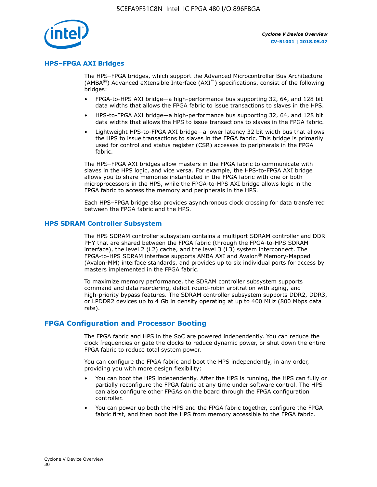![](_page_30_Picture_1.jpeg)

#### **HPS–FPGA AXI Bridges**

The HPS–FPGA bridges, which support the Advanced Microcontroller Bus Architecture (AMBA<sup>®</sup>) Advanced eXtensible Interface (AXI<sup>™</sup>) specifications, consist of the following bridges:

- FPGA-to-HPS AXI bridge—a high-performance bus supporting 32, 64, and 128 bit data widths that allows the FPGA fabric to issue transactions to slaves in the HPS.
- HPS-to-FPGA AXI bridge—a high-performance bus supporting 32, 64, and 128 bit data widths that allows the HPS to issue transactions to slaves in the FPGA fabric.
- Lightweight HPS-to-FPGA AXI bridge—a lower latency 32 bit width bus that allows the HPS to issue transactions to slaves in the FPGA fabric. This bridge is primarily used for control and status register (CSR) accesses to peripherals in the FPGA fabric.

The HPS–FPGA AXI bridges allow masters in the FPGA fabric to communicate with slaves in the HPS logic, and vice versa. For example, the HPS-to-FPGA AXI bridge allows you to share memories instantiated in the FPGA fabric with one or both microprocessors in the HPS, while the FPGA-to-HPS AXI bridge allows logic in the FPGA fabric to access the memory and peripherals in the HPS.

Each HPS–FPGA bridge also provides asynchronous clock crossing for data transferred between the FPGA fabric and the HPS.

#### **HPS SDRAM Controller Subsystem**

The HPS SDRAM controller subsystem contains a multiport SDRAM controller and DDR PHY that are shared between the FPGA fabric (through the FPGA-to-HPS SDRAM interface), the level 2 (L2) cache, and the level 3 (L3) system interconnect. The FPGA-to-HPS SDRAM interface supports AMBA AXI and Avalon® Memory-Mapped (Avalon-MM) interface standards, and provides up to six individual ports for access by masters implemented in the FPGA fabric.

To maximize memory performance, the SDRAM controller subsystem supports command and data reordering, deficit round-robin arbitration with aging, and high-priority bypass features. The SDRAM controller subsystem supports DDR2, DDR3, or LPDDR2 devices up to 4 Gb in density operating at up to 400 MHz (800 Mbps data rate).

#### **FPGA Configuration and Processor Booting**

The FPGA fabric and HPS in the SoC are powered independently. You can reduce the clock frequencies or gate the clocks to reduce dynamic power, or shut down the entire FPGA fabric to reduce total system power.

You can configure the FPGA fabric and boot the HPS independently, in any order, providing you with more design flexibility:

- You can boot the HPS independently. After the HPS is running, the HPS can fully or partially reconfigure the FPGA fabric at any time under software control. The HPS can also configure other FPGAs on the board through the FPGA configuration controller.
- You can power up both the HPS and the FPGA fabric together, configure the FPGA fabric first, and then boot the HPS from memory accessible to the FPGA fabric.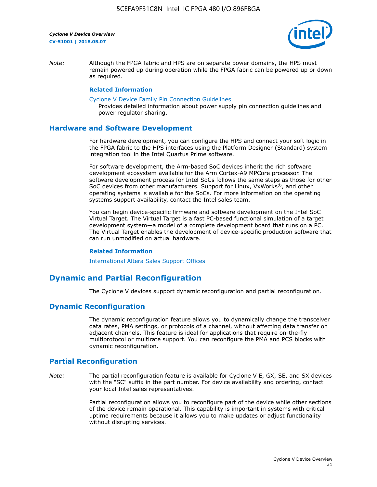![](_page_31_Picture_2.jpeg)

*Note:* Although the FPGA fabric and HPS are on separate power domains, the HPS must remain powered up during operation while the FPGA fabric can be powered up or down as required.

#### **Related Information**

[Cyclone V Device Family Pin Connection Guidelines](https://www.altera.com/content/dam/altera-www/global/en_US/pdfs/literature/dp/cyclone-v/pcg-01014.pdf)

Provides detailed information about power supply pin connection guidelines and power regulator sharing.

#### **Hardware and Software Development**

For hardware development, you can configure the HPS and connect your soft logic in the FPGA fabric to the HPS interfaces using the Platform Designer (Standard) system integration tool in the Intel Quartus Prime software.

For software development, the Arm-based SoC devices inherit the rich software development ecosystem available for the Arm Cortex-A9 MPCore processor. The software development process for Intel SoCs follows the same steps as those for other SoC devices from other manufacturers. Support for Linux, VxWorks®, and other operating systems is available for the SoCs. For more information on the operating systems support availability, contact the Intel sales team.

You can begin device-specific firmware and software development on the Intel SoC Virtual Target. The Virtual Target is a fast PC-based functional simulation of a target development system—a model of a complete development board that runs on a PC. The Virtual Target enables the development of device-specific production software that can run unmodified on actual hardware.

#### **Related Information**

[International Altera Sales Support Offices](https://www.altera.com/about/contact/contact/international-altera-sales-offices.html)

# **Dynamic and Partial Reconfiguration**

The Cyclone V devices support dynamic reconfiguration and partial reconfiguration.

## **Dynamic Reconfiguration**

The dynamic reconfiguration feature allows you to dynamically change the transceiver data rates, PMA settings, or protocols of a channel, without affecting data transfer on adjacent channels. This feature is ideal for applications that require on-the-fly multiprotocol or multirate support. You can reconfigure the PMA and PCS blocks with dynamic reconfiguration.

# **Partial Reconfiguration**

*Note:* The partial reconfiguration feature is available for Cyclone V E, GX, SE, and SX devices with the "SC" suffix in the part number. For device availability and ordering, contact your local Intel sales representatives.

> Partial reconfiguration allows you to reconfigure part of the device while other sections of the device remain operational. This capability is important in systems with critical uptime requirements because it allows you to make updates or adjust functionality without disrupting services.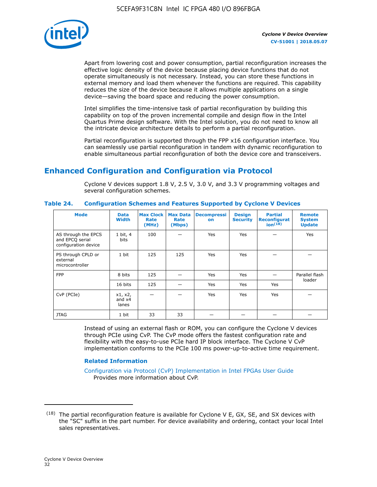![](_page_32_Picture_1.jpeg)

Apart from lowering cost and power consumption, partial reconfiguration increases the effective logic density of the device because placing device functions that do not operate simultaneously is not necessary. Instead, you can store these functions in external memory and load them whenever the functions are required. This capability reduces the size of the device because it allows multiple applications on a single device—saving the board space and reducing the power consumption.

Intel simplifies the time-intensive task of partial reconfiguration by building this capability on top of the proven incremental compile and design flow in the Intel Quartus Prime design software. With the Intel solution, you do not need to know all the intricate device architecture details to perform a partial reconfiguration.

Partial reconfiguration is supported through the FPP x16 configuration interface. You can seamlessly use partial reconfiguration in tandem with dynamic reconfiguration to enable simultaneous partial reconfiguration of both the device core and transceivers.

# **Enhanced Configuration and Configuration via Protocol**

Cyclone V devices support 1.8 V, 2.5 V, 3.0 V, and 3.3 V programming voltages and several configuration schemes.

| <b>Mode</b>                                                    | <b>Data</b><br>Width         | Max Clock  <br>Rate<br>(MHz) | <b>Max Data</b><br>Rate<br>(Mbps) | <b>Decompressi</b><br>on | <b>Design</b><br><b>Security</b> | <b>Partial</b><br>Reconfigurat<br>ion <sup>(18)</sup> | <b>Remote</b><br><b>System</b><br><b>Update</b> |
|----------------------------------------------------------------|------------------------------|------------------------------|-----------------------------------|--------------------------|----------------------------------|-------------------------------------------------------|-------------------------------------------------|
| AS through the EPCS<br>and EPCQ serial<br>configuration device | 1 bit, 4<br>bits             | 100                          |                                   | Yes                      | <b>Yes</b>                       |                                                       | Yes                                             |
| PS through CPLD or<br>external<br>microcontroller              | 1 bit                        | 125                          | 125                               | Yes                      | Yes                              |                                                       |                                                 |
| <b>FPP</b>                                                     | 8 bits                       | 125                          |                                   | Yes                      | <b>Yes</b>                       |                                                       | Parallel flash                                  |
|                                                                | 16 bits                      | 125                          |                                   | Yes                      | <b>Yes</b>                       | Yes                                                   | loader                                          |
| CvP (PCIe)                                                     | x1, x2,<br>and $x4$<br>lanes |                              |                                   | Yes                      | <b>Yes</b>                       | Yes                                                   |                                                 |
| <b>JTAG</b>                                                    | 1 bit                        | 33                           | 33                                |                          |                                  |                                                       |                                                 |

**Table 24. Configuration Schemes and Features Supported by Cyclone V Devices**

Instead of using an external flash or ROM, you can configure the Cyclone V devices through PCIe using CvP. The CvP mode offers the fastest configuration rate and flexibility with the easy-to-use PCIe hard IP block interface. The Cyclone V CvP implementation conforms to the PCIe 100 ms power-up-to-active time requirement.

## **Related Information**

[Configuration via Protocol \(CvP\) Implementation in Intel FPGAs User Guide](https://www.altera.com/documentation/nik1412546950394.html#nik1412546833714) Provides more information about CvP.

 $(18)$  The partial reconfiguration feature is available for Cyclone V E, GX, SE, and SX devices with the "SC" suffix in the part number. For device availability and ordering, contact your local Intel sales representatives.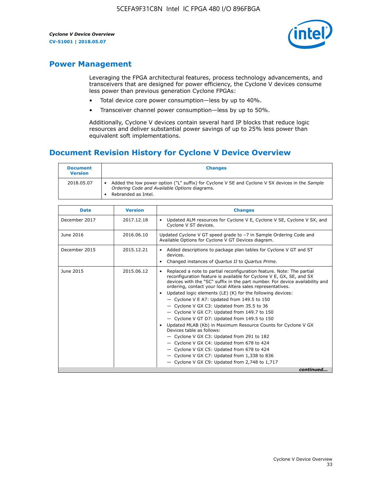![](_page_33_Picture_2.jpeg)

# **Power Management**

Leveraging the FPGA architectural features, process technology advancements, and transceivers that are designed for power efficiency, the Cyclone V devices consume less power than previous generation Cyclone FPGAs:

- Total device core power consumption—less by up to 40%.
- Transceiver channel power consumption—less by up to 50%.

Additionally, Cyclone V devices contain several hard IP blocks that reduce logic resources and deliver substantial power savings of up to 25% less power than equivalent soft implementations.

# **Document Revision History for Cyclone V Device Overview**

| <b>Document</b><br><b>Version</b> | <b>Changes</b>                                                                                                                                                          |
|-----------------------------------|-------------------------------------------------------------------------------------------------------------------------------------------------------------------------|
| 2018.05.07                        | Added the low power option ("L" suffix) for Cyclone V SE and Cyclone V SX devices in the Sample<br>Ordering Code and Available Options diagrams.<br>Rebranded as Intel. |

| <b>Date</b>   | <b>Version</b> | <b>Changes</b>                                                                                                                                                                                                                                                                                                                                                                                                                                                                                                                                                                                                                                                                                                                                                                                                                                                                                                  |
|---------------|----------------|-----------------------------------------------------------------------------------------------------------------------------------------------------------------------------------------------------------------------------------------------------------------------------------------------------------------------------------------------------------------------------------------------------------------------------------------------------------------------------------------------------------------------------------------------------------------------------------------------------------------------------------------------------------------------------------------------------------------------------------------------------------------------------------------------------------------------------------------------------------------------------------------------------------------|
| December 2017 | 2017.12.18     | Updated ALM resources for Cyclone V E, Cyclone V SE, Cyclone V SX, and<br>Cyclone V ST devices.                                                                                                                                                                                                                                                                                                                                                                                                                                                                                                                                                                                                                                                                                                                                                                                                                 |
| June 2016     | 2016.06.10     | Updated Cyclone V GT speed grade to -7 in Sample Ordering Code and<br>Available Options for Cyclone V GT Devices diagram.                                                                                                                                                                                                                                                                                                                                                                                                                                                                                                                                                                                                                                                                                                                                                                                       |
| December 2015 | 2015.12.21     | Added descriptions to package plan tables for Cyclone V GT and ST<br>devices.<br>Changed instances of Quartus II to Quartus Prime.                                                                                                                                                                                                                                                                                                                                                                                                                                                                                                                                                                                                                                                                                                                                                                              |
| June 2015     | 2015.06.12     | Replaced a note to partial reconfiguration feature. Note: The partial<br>reconfiguration feature is available for Cyclone V E, GX, SE, and SX<br>devices with the "SC" suffix in the part number. For device availability and<br>ordering, contact your local Altera sales representatives.<br>Updated logic elements (LE) (K) for the following devices:<br>$\bullet$<br>- Cyclone V E A7: Updated from 149.5 to 150<br>- Cyclone V GX C3: Updated from 35.5 to 36<br>- Cyclone V GX C7: Updated from 149.7 to 150<br>- Cyclone V GT D7: Updated from 149.5 to 150<br>Updated MLAB (Kb) in Maximum Resource Counts for Cyclone V GX<br>Devices table as follows:<br>- Cyclone V GX C3: Updated from 291 to 182<br>- Cyclone V GX C4: Updated from 678 to 424<br>- Cyclone V GX C5: Updated from 678 to 424<br>- Cyclone V GX C7: Updated from 1,338 to 836<br>$-$ Cyclone V GX C9: Updated from 2,748 to 1,717 |
|               |                | continued                                                                                                                                                                                                                                                                                                                                                                                                                                                                                                                                                                                                                                                                                                                                                                                                                                                                                                       |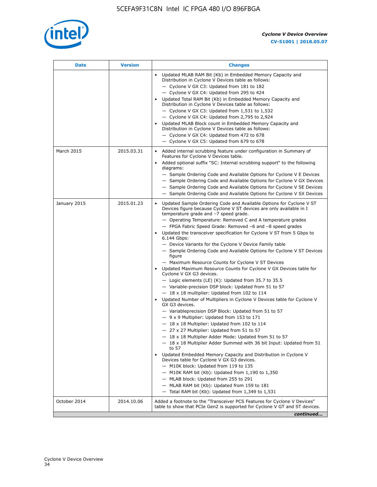![](_page_34_Picture_1.jpeg)

| <b>Date</b>  | <b>Version</b> | <b>Changes</b>                                                                                                                                                                                                                                                                                                                                                                                                                                                                                                                                                                                                                                                                                                                                                                                                                                                                                                                                                                                                                                                                                                                                                                                                                                                                                                                                                                                                                                                                                                                                                                                                                                                                                                |
|--------------|----------------|---------------------------------------------------------------------------------------------------------------------------------------------------------------------------------------------------------------------------------------------------------------------------------------------------------------------------------------------------------------------------------------------------------------------------------------------------------------------------------------------------------------------------------------------------------------------------------------------------------------------------------------------------------------------------------------------------------------------------------------------------------------------------------------------------------------------------------------------------------------------------------------------------------------------------------------------------------------------------------------------------------------------------------------------------------------------------------------------------------------------------------------------------------------------------------------------------------------------------------------------------------------------------------------------------------------------------------------------------------------------------------------------------------------------------------------------------------------------------------------------------------------------------------------------------------------------------------------------------------------------------------------------------------------------------------------------------------------|
|              |                | Updated MLAB RAM Bit (Kb) in Embedded Memory Capacity and<br>Distribution in Cyclone V Devices table as follows:<br>- Cyclone V GX C3: Updated from 181 to 182<br>- Cyclone V GX C4: Updated from 295 to 424<br>Updated Total RAM Bit (Kb) in Embedded Memory Capacity and<br>Distribution in Cyclone V Devices table as follows:<br>- Cyclone V GX C3: Updated from $1,531$ to $1,532$<br>- Cyclone V GX C4: Updated from 2,795 to 2,924<br>Updated MLAB Block count in Embedded Memory Capacity and<br>Distribution in Cyclone V Devices table as follows:<br>- Cyclone V GX C4: Updated from 472 to 678<br>- Cyclone V GX C5: Updated from 679 to 678                                                                                                                                                                                                                                                                                                                                                                                                                                                                                                                                                                                                                                                                                                                                                                                                                                                                                                                                                                                                                                                      |
| March 2015   | 2015.03.31     | Added internal scrubbing feature under configuration in Summary of<br>$\bullet$<br>Features for Cyclone V Devices table.<br>Added optional suffix "SC: Internal scrubbing support" to the following<br>diagrams:<br>- Sample Ordering Code and Available Options for Cyclone V E Devices<br>- Sample Ordering Code and Available Options for Cyclone V GX Devices<br>- Sample Ordering Code and Available Options for Cyclone V SE Devices<br>- Sample Ordering Code and Available Options for Cyclone V SX Devices                                                                                                                                                                                                                                                                                                                                                                                                                                                                                                                                                                                                                                                                                                                                                                                                                                                                                                                                                                                                                                                                                                                                                                                           |
| January 2015 | 2015.01.23     | Updated Sample Ordering Code and Available Options for Cyclone V ST<br>Devices figure because Cyclone V ST devices are only available in I<br>temperature grade and -7 speed grade.<br>- Operating Temperature: Removed C and A temperature grades<br>- FPGA Fabric Speed Grade: Removed -6 and -8 speed grades<br>Updated the transceiver specification for Cyclone V ST from 5 Gbps to<br>6.144 Gbps:<br>- Device Variants for the Cyclone V Device Family table<br>- Sample Ordering Code and Available Options for Cyclone V ST Devices<br>figure<br>- Maximum Resource Counts for Cyclone V ST Devices<br>Updated Maximum Resource Counts for Cyclone V GX Devices table for<br>Cyclone V GX G3 devices.<br>$-$ Logic elements (LE) (K): Updated from 35.7 to 35.5<br>- Variable-precision DSP block: Updated from 51 to 57<br>$-18 \times 18$ multiplier: Updated from 102 to 114<br>Updated Number of Multipliers in Cyclone V Devices table for Cyclone V<br>GX G3 devices.<br>- Variableprecision DSP Block: Updated from 51 to 57<br>$-9x9$ Multiplier: Updated from 153 to 171<br>$-18 \times 18$ Multiplier: Updated from 102 to 114<br>- 27 x 27 Multiplier: Updated from 51 to 57<br>- 18 x 18 Multiplier Adder Mode: Updated from 51 to 57<br>$-18 \times 18$ Multiplier Adder Summed with 36 bit Input: Updated from 51<br>to 57<br>Updated Embedded Memory Capacity and Distribution in Cyclone V<br>Devices table for Cyclone V GX G3 devices.<br>- M10K block: Updated from 119 to 135<br>- M10K RAM bit (Kb): Updated from 1,190 to 1,350<br>- MLAB block: Updated from 255 to 291<br>- MLAB RAM bit (Kb): Updated from 159 to 181<br>$-$ Total RAM bit (Kb): Updated from 1,349 to 1,531 |
| October 2014 | 2014.10.06     | Added a footnote to the "Transceiver PCS Features for Cyclone V Devices"<br>table to show that PCIe Gen2 is supported for Cyclone V GT and ST devices.                                                                                                                                                                                                                                                                                                                                                                                                                                                                                                                                                                                                                                                                                                                                                                                                                                                                                                                                                                                                                                                                                                                                                                                                                                                                                                                                                                                                                                                                                                                                                        |
|              |                | continued                                                                                                                                                                                                                                                                                                                                                                                                                                                                                                                                                                                                                                                                                                                                                                                                                                                                                                                                                                                                                                                                                                                                                                                                                                                                                                                                                                                                                                                                                                                                                                                                                                                                                                     |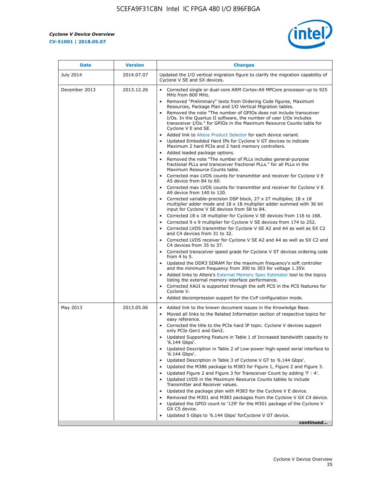r

![](_page_35_Picture_2.jpeg)

| <b>Date</b>   | <b>Version</b> | <b>Changes</b>                                                                                                                                                                                                                                                                                                                                                                                                                                                                                                                                                                                                                                                                                                                                                                                                                                                                                                                                                                                                                                                                                                                                                                                                                                                                                                                                                                                                                                      |
|---------------|----------------|-----------------------------------------------------------------------------------------------------------------------------------------------------------------------------------------------------------------------------------------------------------------------------------------------------------------------------------------------------------------------------------------------------------------------------------------------------------------------------------------------------------------------------------------------------------------------------------------------------------------------------------------------------------------------------------------------------------------------------------------------------------------------------------------------------------------------------------------------------------------------------------------------------------------------------------------------------------------------------------------------------------------------------------------------------------------------------------------------------------------------------------------------------------------------------------------------------------------------------------------------------------------------------------------------------------------------------------------------------------------------------------------------------------------------------------------------------|
| July 2014     | 2014.07.07     | Updated the I/O vertical migration figure to clarify the migration capability of<br>Cyclone V SE and SX devices.                                                                                                                                                                                                                                                                                                                                                                                                                                                                                                                                                                                                                                                                                                                                                                                                                                                                                                                                                                                                                                                                                                                                                                                                                                                                                                                                    |
| December 2013 | 2013.12.26     | • Corrected single or dual-core ARM Cortex-A9 MPCore processor-up to 925<br>MHz from 800 MHz.<br>Removed "Preliminary" texts from Ordering Code figures, Maximum<br>$\bullet$<br>Resources, Package Plan and I/O Vertical Migration tables.<br>Removed the note "The number of GPIOs does not include transceiver<br>I/Os. In the Quartus II software, the number of user I/Os includes<br>transceiver I/Os." for GPIOs in the Maximum Resource Counts table for<br>Cyclone V E and SE.<br>Added link to Altera Product Selector for each device variant.<br>• Updated Embedded Hard IPs for Cyclone V GT devices to indicate<br>Maximum 2 hard PCIe and 2 hard memory controllers.<br>• Added leaded package options.<br>Removed the note "The number of PLLs includes general-purpose                                                                                                                                                                                                                                                                                                                                                                                                                                                                                                                                                                                                                                                             |
|               |                | fractional PLLs and transceiver fractional PLLs." for all PLLs in the<br>Maximum Resource Counts table.<br>• Corrected max LVDS counts for transmitter and receiver for Cyclone V E<br>A5 device from 84 to 60.<br>• Corrected max LVDS counts for transmitter and receiver for Cyclone V E<br>A9 device from 140 to 120.<br>Corrected variable-precision DSP block, 27 x 27 multiplier, 18 x 18<br>multiplier adder mode and $18 \times 18$ multiplier adder summed with 36 bit<br>input for Cyclone V SE devices from 58 to 84.<br>Corrected 18 x 18 multiplier for Cyclone V SE devices from 116 to 168.<br>Corrected 9 x 9 multiplier for Cyclone V SE devices from 174 to 252.<br>Corrected LVDS transmitter for Cyclone V SE A2 and A4 as well as SX C2<br>and C4 devices from 31 to 32.<br>• Corrected LVDS receiver for Cyclone V SE A2 and A4 as well as SX C2 and<br>C4 devices from 35 to 37.<br>• Corrected transceiver speed grade for Cyclone V ST devices ordering code<br>from $4$ to $5$ .<br>• Updated the DDR3 SDRAM for the maximum frequency's soft controller<br>and the minimum frequency from 300 to 303 for voltage 1.35V.<br>• Added links to Altera's External Memory Spec Estimator tool to the topics<br>listing the external memory interface performance.<br>• Corrected XAUI is supported through the soft PCS in the PCS features for<br>Cyclone V.<br>Added decompression support for the CvP configuration mode. |
| May 2013      | 2013.05.06     | Added link to the known document issues in the Knowledge Base.<br>$\bullet$<br>Moved all links to the Related Information section of respective topics for<br>$\bullet$<br>easy reference.<br>• Corrected the title to the PCIe hard IP topic. Cyclone V devices support<br>only PCIe Gen1 and Gen2.<br>Updated Supporting Feature in Table 1 of Increased bandwidth capacity to<br>$\bullet$<br>'6.144 Gbps'.<br>Updated Description in Table 2 of Low-power high-speed serial interface to<br>'6.144 Gbps'.<br>Updated Description in Table 3 of Cyclone V GT to '6.144 Gbps'.<br>Updated the M386 package to M383 for Figure 1, Figure 2 and Figure 3.<br>$\bullet$<br>Updated Figure 2 and Figure 3 for Transceiver Count by adding 'F : 4'.<br>$\bullet$<br>Updated LVDS in the Maximum Resource Counts tables to include<br>Transmitter and Receiver values.<br>Updated the package plan with M383 for the Cyclone V E device.<br>$\bullet$<br>Removed the M301 and M383 packages from the Cyclone V GX C4 device.<br>Updated the GPIO count to '129' for the M301 package of the Cyclone V<br>GX C5 device.<br>Updated 5 Gbps to '6.144 Gbps' for Cyclone V GT device.<br>continued                                                                                                                                                                                                                                                          |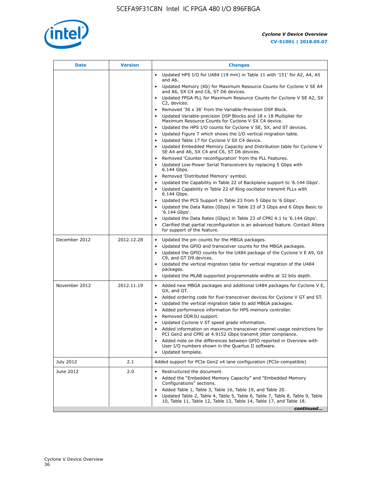![](_page_36_Picture_1.jpeg)

| <b>Date</b>   | <b>Version</b> | <b>Changes</b>                                                                                                                                      |
|---------------|----------------|-----------------------------------------------------------------------------------------------------------------------------------------------------|
|               |                | Updated HPS I/O for U484 (19 mm) in Table 11 with '151' for A2, A4, A5<br>and A6.                                                                   |
|               |                | Updated Memory (Kb) for Maximum Resource Counts for Cyclone V SE A4<br>and A6, SX C4 and C6, ST D6 devices.                                         |
|               |                | Updated FPGA PLL for Maximum Resource Counts for Cyclone V SE A2, SX<br>C2, devices.                                                                |
|               |                | Removed '36 x 36' from the Variable-Precision DSP Block.                                                                                            |
|               |                | Updated Variable-precision DSP Blocks and $18 \times 18$ Multiplier for<br>Maximum Resource Counts for Cyclone V SX C4 device.                      |
|               |                | Updated the HPS I/O counts for Cyclone V SE, SX, and ST devices.<br>$\bullet$                                                                       |
|               |                | Updated Figure 7 which shows the I/O vertical migration table.                                                                                      |
|               |                | Updated Table 17 for Cyclone V SX C4 device.<br>$\bullet$                                                                                           |
|               |                | • Updated Embedded Memory Capacity and Distribution table for Cyclone V<br>SE A4 and A6, SX C4 and C6, ST D6 devices.                               |
|               |                | Removed 'Counter reconfiguration' from the PLL Features.                                                                                            |
|               |                | Updated Low-Power Serial Transceivers by replacing 5 Gbps with<br>6.144 Gbps.                                                                       |
|               |                | Removed 'Distributed Memory' symbol.<br>$\bullet$                                                                                                   |
|               |                | Updated the Capability in Table 22 of Backplane support to '6.144 Gbps'.<br>$\bullet$                                                               |
|               |                | Updated Capability in Table 22 of Ring oscillator transmit PLLs with<br>6.144 Gbps.                                                                 |
|               |                | Updated the PCS Support in Table 23 from 5 Gbps to '6 Gbps'.                                                                                        |
|               |                | Updated the Data Rates (Gbps) in Table 23 of 3 Gbps and 6 Gbps Basic to<br>$\bullet$<br>'6.144 Gbps'.                                               |
|               |                | Updated the Data Rates (Gbps) in Table 23 of CPRI 4.1 to '6.144 Gbps'.                                                                              |
|               |                | Clarified that partial reconfiguration is an advanced feature. Contact Altera<br>for support of the feature.                                        |
| December 2012 | 2012.12.28     | Updated the pin counts for the MBGA packages.<br>$\bullet$                                                                                          |
|               |                | Updated the GPIO and transceiver counts for the MBGA packages.<br>$\bullet$                                                                         |
|               |                | Updated the GPIO counts for the U484 package of the Cyclone V E A9, GX<br>C9, and GT D9 devices.                                                    |
|               |                | Updated the vertical migration table for vertical migration of the U484<br>packages.                                                                |
|               |                | Updated the MLAB supported programmable widths at 32 bits depth.                                                                                    |
| November 2012 | 2012.11.19     | • Added new MBGA packages and additional U484 packages for Cyclone V E,                                                                             |
|               |                | GX, and GT.                                                                                                                                         |
|               |                | Added ordering code for five-transceiver devices for Cyclone V GT and ST.<br>$\bullet$                                                              |
|               |                | Updated the vertical migration table to add MBGA packages.<br>٠                                                                                     |
|               |                | Added performance information for HPS memory controller.<br>$\bullet$<br>Removed DDR3U support.<br>$\bullet$                                        |
|               |                | Updated Cyclone V ST speed grade information.                                                                                                       |
|               |                | Added information on maximum transceiver channel usage restrictions for                                                                             |
|               |                | PCI Gen2 and CPRI at 4.9152 Gbps transmit jitter compliance.                                                                                        |
|               |                | Added note on the differences between GPIO reported in Overview with<br>User I/O numbers shown in the Quartus II software.                          |
|               |                | Updated template.                                                                                                                                   |
| July 2012     | 2.1            | Added support for PCIe Gen2 x4 lane configuration (PCIe-compatible)                                                                                 |
| June 2012     | 2.0            | Restructured the document.<br>٠                                                                                                                     |
|               |                | Added the "Embedded Memory Capacity" and "Embedded Memory<br>Configurations" sections.                                                              |
|               |                | Added Table 1, Table 3, Table 16, Table 19, and Table 20.                                                                                           |
|               |                | Updated Table 2, Table 4, Table 5, Table 6, Table 7, Table 8, Table 9, Table<br>10, Table 11, Table 12, Table 13, Table 14, Table 17, and Table 18. |
|               |                | continued                                                                                                                                           |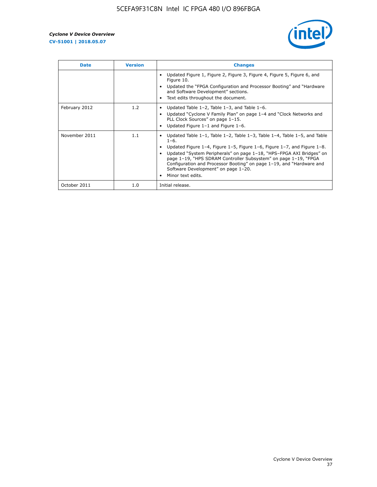![](_page_37_Picture_2.jpeg)

| <b>Date</b>   | <b>Version</b> | <b>Changes</b>                                                                                                                                                                                                                                                                                                                                                                                                                                                             |
|---------------|----------------|----------------------------------------------------------------------------------------------------------------------------------------------------------------------------------------------------------------------------------------------------------------------------------------------------------------------------------------------------------------------------------------------------------------------------------------------------------------------------|
|               |                | Updated Figure 1, Figure 2, Figure 3, Figure 4, Figure 5, Figure 6, and<br>Figure 10.<br>Updated the "FPGA Configuration and Processor Booting" and "Hardware<br>and Software Development" sections.<br>Text edits throughout the document.                                                                                                                                                                                                                                |
| February 2012 | 1.2            | Updated Table $1-2$ , Table $1-3$ , and Table $1-6$ .<br>Updated "Cyclone V Family Plan" on page 1-4 and "Clock Networks and<br>$\bullet$<br>PLL Clock Sources" on page 1-15.<br>Updated Figure $1-1$ and Figure $1-6$ .                                                                                                                                                                                                                                                   |
| November 2011 | 1.1            | Updated Table $1-1$ , Table $1-2$ , Table $1-3$ , Table $1-4$ , Table $1-5$ , and Table<br>$1 - 6.$<br>Updated Figure 1-4, Figure 1-5, Figure 1-6, Figure 1-7, and Figure 1-8.<br>Updated "System Peripherals" on page 1-18, "HPS-FPGA AXI Bridges" on<br>page 1-19, "HPS SDRAM Controller Subsystem" on page 1-19, "FPGA<br>Configuration and Processor Booting" on page 1-19, and "Hardware and<br>Software Development" on page 1-20.<br>Minor text edits.<br>$\bullet$ |
| October 2011  | 1.0            | Initial release.                                                                                                                                                                                                                                                                                                                                                                                                                                                           |